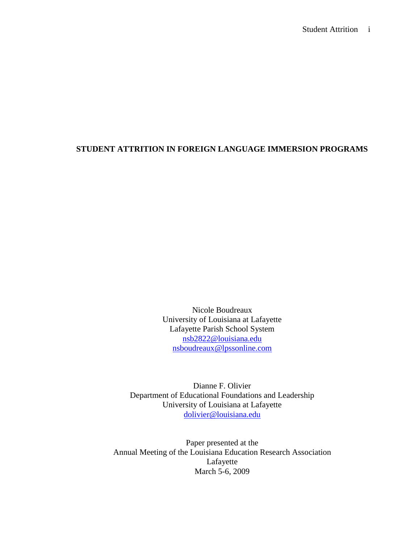# **STUDENT ATTRITION IN FOREIGN LANGUAGE IMMERSION PROGRAMS**

Nicole Boudreaux University of Louisiana at Lafayette Lafayette Parish School System [nsb2822@louisiana.edu](mailto:nsb2822@louisina.edu) nsboudreaux@lpssonline.com

Dianne F. Olivier Department of Educational Foundations and Leadership University of Louisiana at Lafayette [dolivier@louisiana.edu](mailto:dolivier@louisiana.edu)

Paper presented at the Annual Meeting of the Louisiana Education Research Association Lafayette March 5-6, 2009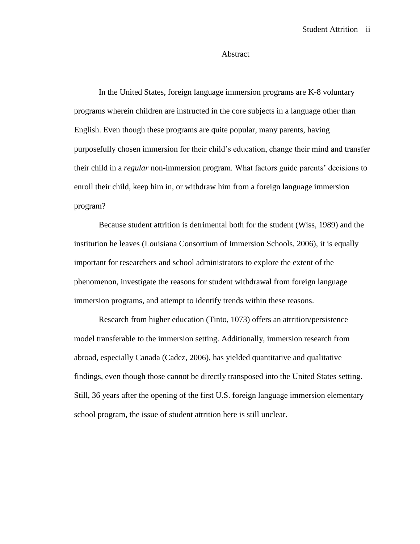#### Abstract

In the United States, foreign language immersion programs are K-8 voluntary programs wherein children are instructed in the core subjects in a language other than English. Even though these programs are quite popular, many parents, having purposefully chosen immersion for their child"s education, change their mind and transfer their child in a *regular* non-immersion program. What factors guide parents" decisions to enroll their child, keep him in, or withdraw him from a foreign language immersion program?

Because student attrition is detrimental both for the student (Wiss, 1989) and the institution he leaves (Louisiana Consortium of Immersion Schools, 2006), it is equally important for researchers and school administrators to explore the extent of the phenomenon, investigate the reasons for student withdrawal from foreign language immersion programs, and attempt to identify trends within these reasons.

Research from higher education (Tinto, 1073) offers an attrition/persistence model transferable to the immersion setting. Additionally, immersion research from abroad, especially Canada (Cadez, 2006), has yielded quantitative and qualitative findings, even though those cannot be directly transposed into the United States setting. Still, 36 years after the opening of the first U.S. foreign language immersion elementary school program, the issue of student attrition here is still unclear.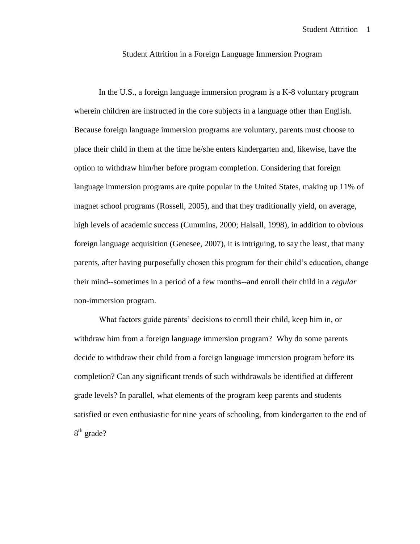Student Attrition in a Foreign Language Immersion Program

In the U.S., a foreign language immersion program is a K-8 voluntary program wherein children are instructed in the core subjects in a language other than English. Because foreign language immersion programs are voluntary, parents must choose to place their child in them at the time he/she enters kindergarten and, likewise, have the option to withdraw him/her before program completion. Considering that foreign language immersion programs are quite popular in the United States, making up 11% of magnet school programs (Rossell, 2005), and that they traditionally yield, on average, high levels of academic success (Cummins, 2000; Halsall, 1998), in addition to obvious foreign language acquisition (Genesee, 2007), it is intriguing, to say the least, that many parents, after having purposefully chosen this program for their child"s education, change their mind--sometimes in a period of a few months--and enroll their child in a *regular* non-immersion program.

What factors guide parents' decisions to enroll their child, keep him in, or withdraw him from a foreign language immersion program? Why do some parents decide to withdraw their child from a foreign language immersion program before its completion? Can any significant trends of such withdrawals be identified at different grade levels? In parallel, what elements of the program keep parents and students satisfied or even enthusiastic for nine years of schooling, from kindergarten to the end of 8<sup>th</sup> grade?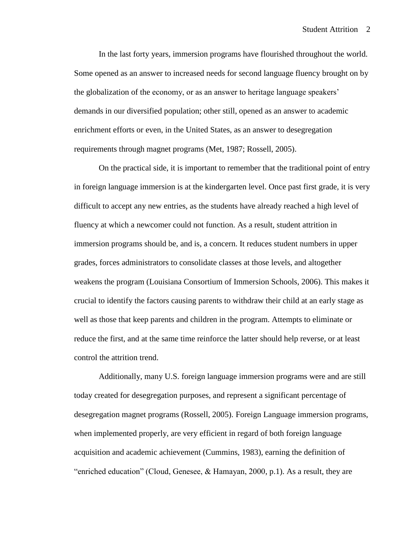In the last forty years, immersion programs have flourished throughout the world. Some opened as an answer to increased needs for second language fluency brought on by the globalization of the economy, or as an answer to heritage language speakers" demands in our diversified population; other still, opened as an answer to academic enrichment efforts or even, in the United States, as an answer to desegregation requirements through magnet programs (Met, 1987; Rossell, 2005).

On the practical side, it is important to remember that the traditional point of entry in foreign language immersion is at the kindergarten level. Once past first grade, it is very difficult to accept any new entries, as the students have already reached a high level of fluency at which a newcomer could not function. As a result, student attrition in immersion programs should be, and is, a concern. It reduces student numbers in upper grades, forces administrators to consolidate classes at those levels, and altogether weakens the program (Louisiana Consortium of Immersion Schools, 2006). This makes it crucial to identify the factors causing parents to withdraw their child at an early stage as well as those that keep parents and children in the program. Attempts to eliminate or reduce the first, and at the same time reinforce the latter should help reverse, or at least control the attrition trend.

Additionally, many U.S. foreign language immersion programs were and are still today created for desegregation purposes, and represent a significant percentage of desegregation magnet programs (Rossell, 2005). Foreign Language immersion programs, when implemented properly, are very efficient in regard of both foreign language acquisition and academic achievement (Cummins, 1983), earning the definition of "enriched education" (Cloud, Genesee,  $\&$  Hamayan, 2000, p.1). As a result, they are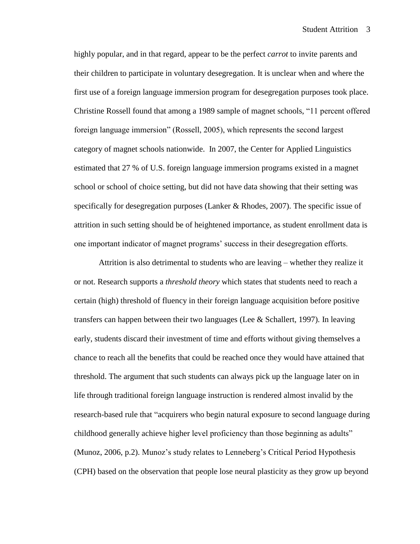highly popular, and in that regard, appear to be the perfect *carrot* to invite parents and their children to participate in voluntary desegregation. It is unclear when and where the first use of a foreign language immersion program for desegregation purposes took place. Christine Rossell found that among a 1989 sample of magnet schools, "11 percent offered foreign language immersion" (Rossell, 2005), which represents the second largest category of magnet schools nationwide. In 2007, the Center for Applied Linguistics estimated that 27 % of U.S. foreign language immersion programs existed in a magnet school or school of choice setting, but did not have data showing that their setting was specifically for desegregation purposes (Lanker & Rhodes, 2007). The specific issue of attrition in such setting should be of heightened importance, as student enrollment data is one important indicator of magnet programs" success in their desegregation efforts.

Attrition is also detrimental to students who are leaving – whether they realize it or not. Research supports a *threshold theory* which states that students need to reach a certain (high) threshold of fluency in their foreign language acquisition before positive transfers can happen between their two languages (Lee & Schallert, 1997). In leaving early, students discard their investment of time and efforts without giving themselves a chance to reach all the benefits that could be reached once they would have attained that threshold. The argument that such students can always pick up the language later on in life through traditional foreign language instruction is rendered almost invalid by the research-based rule that "acquirers who begin natural exposure to second language during childhood generally achieve higher level proficiency than those beginning as adults" (Munoz, 2006, p.2). Munoz"s study relates to Lenneberg"s Critical Period Hypothesis (CPH) based on the observation that people lose neural plasticity as they grow up beyond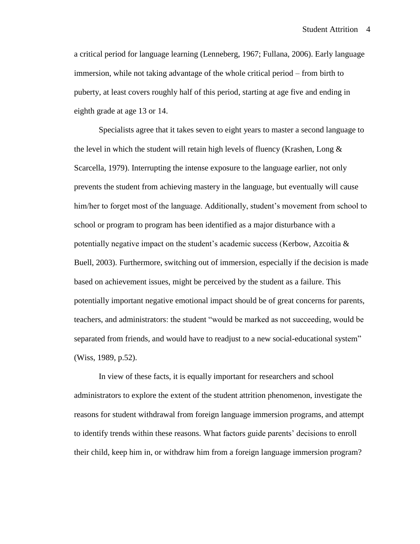a critical period for language learning (Lenneberg, 1967; Fullana, 2006). Early language immersion, while not taking advantage of the whole critical period – from birth to puberty, at least covers roughly half of this period, starting at age five and ending in eighth grade at age 13 or 14.

Specialists agree that it takes seven to eight years to master a second language to the level in which the student will retain high levels of fluency (Krashen, Long  $\&$ Scarcella, 1979). Interrupting the intense exposure to the language earlier, not only prevents the student from achieving mastery in the language, but eventually will cause him/her to forget most of the language. Additionally, student's movement from school to school or program to program has been identified as a major disturbance with a potentially negative impact on the student"s academic success (Kerbow, Azcoitia & Buell, 2003). Furthermore, switching out of immersion, especially if the decision is made based on achievement issues, might be perceived by the student as a failure. This potentially important negative emotional impact should be of great concerns for parents, teachers, and administrators: the student "would be marked as not succeeding, would be separated from friends, and would have to readjust to a new social-educational system" (Wiss, 1989, p.52).

In view of these facts, it is equally important for researchers and school administrators to explore the extent of the student attrition phenomenon, investigate the reasons for student withdrawal from foreign language immersion programs, and attempt to identify trends within these reasons. What factors guide parents" decisions to enroll their child, keep him in, or withdraw him from a foreign language immersion program?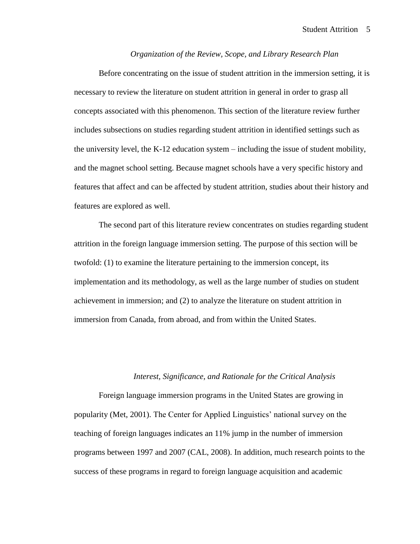# *Organization of the Review, Scope, and Library Research Plan*

Before concentrating on the issue of student attrition in the immersion setting, it is necessary to review the literature on student attrition in general in order to grasp all concepts associated with this phenomenon. This section of the literature review further includes subsections on studies regarding student attrition in identified settings such as the university level, the K-12 education system – including the issue of student mobility, and the magnet school setting. Because magnet schools have a very specific history and features that affect and can be affected by student attrition, studies about their history and features are explored as well.

The second part of this literature review concentrates on studies regarding student attrition in the foreign language immersion setting. The purpose of this section will be twofold: (1) to examine the literature pertaining to the immersion concept, its implementation and its methodology, as well as the large number of studies on student achievement in immersion; and (2) to analyze the literature on student attrition in immersion from Canada, from abroad, and from within the United States.

#### *Interest, Significance, and Rationale for the Critical Analysis*

Foreign language immersion programs in the United States are growing in popularity (Met, 2001). The Center for Applied Linguistics" national survey on the teaching of foreign languages indicates an 11% jump in the number of immersion programs between 1997 and 2007 (CAL, 2008). In addition, much research points to the success of these programs in regard to foreign language acquisition and academic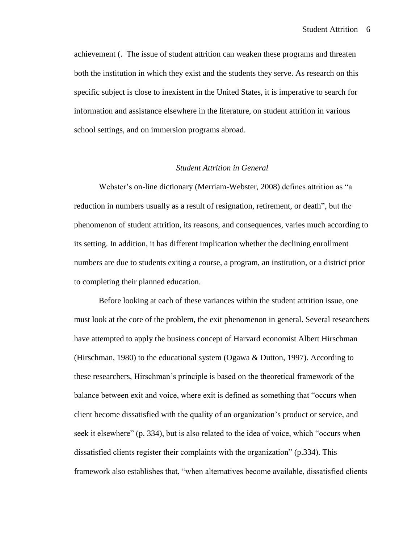achievement (. The issue of student attrition can weaken these programs and threaten both the institution in which they exist and the students they serve. As research on this specific subject is close to inexistent in the United States, it is imperative to search for information and assistance elsewhere in the literature, on student attrition in various school settings, and on immersion programs abroad.

# *Student Attrition in General*

Webster's on-line dictionary (Merriam-Webster, 2008) defines attrition as "a reduction in numbers usually as a result of resignation, retirement, or death", but the phenomenon of student attrition, its reasons, and consequences, varies much according to its setting. In addition, it has different implication whether the declining enrollment numbers are due to students exiting a course, a program, an institution, or a district prior to completing their planned education.

Before looking at each of these variances within the student attrition issue, one must look at the core of the problem, the exit phenomenon in general. Several researchers have attempted to apply the business concept of Harvard economist Albert Hirschman (Hirschman, 1980) to the educational system (Ogawa  $&$  Dutton, 1997). According to these researchers, Hirschman"s principle is based on the theoretical framework of the balance between exit and voice, where exit is defined as something that "occurs when client become dissatisfied with the quality of an organization"s product or service, and seek it elsewhere" (p. 334), but is also related to the idea of voice, which "occurs when dissatisfied clients register their complaints with the organization" (p.334). This framework also establishes that, "when alternatives become available, dissatisfied clients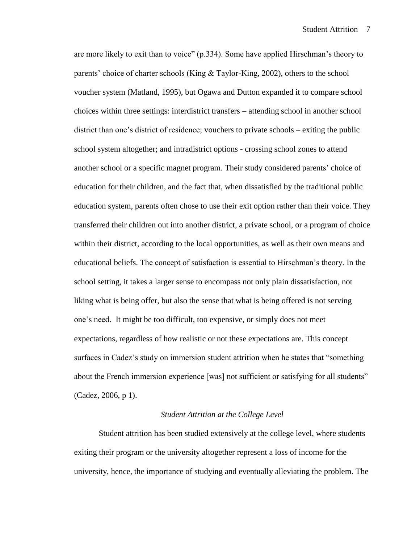are more likely to exit than to voice" (p.334). Some have applied Hirschman"s theory to parents' choice of charter schools (King & Taylor-King, 2002), others to the school voucher system (Matland, 1995), but Ogawa and Dutton expanded it to compare school choices within three settings: interdistrict transfers – attending school in another school district than one's district of residence; vouchers to private schools – exiting the public school system altogether; and intradistrict options - crossing school zones to attend another school or a specific magnet program. Their study considered parents' choice of education for their children, and the fact that, when dissatisfied by the traditional public education system, parents often chose to use their exit option rather than their voice. They transferred their children out into another district, a private school, or a program of choice within their district, according to the local opportunities, as well as their own means and educational beliefs. The concept of satisfaction is essential to Hirschman"s theory. In the school setting, it takes a larger sense to encompass not only plain dissatisfaction, not liking what is being offer, but also the sense that what is being offered is not serving one"s need. It might be too difficult, too expensive, or simply does not meet expectations, regardless of how realistic or not these expectations are. This concept surfaces in Cadez's study on immersion student attrition when he states that "something" about the French immersion experience [was] not sufficient or satisfying for all students" (Cadez, 2006, p 1).

#### *Student Attrition at the College Level*

Student attrition has been studied extensively at the college level, where students exiting their program or the university altogether represent a loss of income for the university, hence, the importance of studying and eventually alleviating the problem. The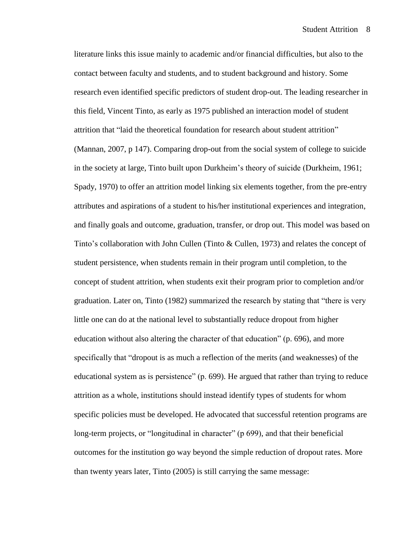literature links this issue mainly to academic and/or financial difficulties, but also to the contact between faculty and students, and to student background and history. Some research even identified specific predictors of student drop-out. The leading researcher in this field, Vincent Tinto, as early as 1975 published an interaction model of student attrition that "laid the theoretical foundation for research about student attrition" (Mannan, 2007, p 147). Comparing drop-out from the social system of college to suicide in the society at large, Tinto built upon Durkheim"s theory of suicide (Durkheim, 1961; Spady, 1970) to offer an attrition model linking six elements together, from the pre-entry attributes and aspirations of a student to his/her institutional experiences and integration, and finally goals and outcome, graduation, transfer, or drop out. This model was based on Tinto's collaboration with John Cullen (Tinto & Cullen, 1973) and relates the concept of student persistence, when students remain in their program until completion, to the concept of student attrition, when students exit their program prior to completion and/or graduation. Later on, Tinto (1982) summarized the research by stating that "there is very little one can do at the national level to substantially reduce dropout from higher education without also altering the character of that education" (p. 696), and more specifically that "dropout is as much a reflection of the merits (and weaknesses) of the educational system as is persistence" (p. 699). He argued that rather than trying to reduce attrition as a whole, institutions should instead identify types of students for whom specific policies must be developed. He advocated that successful retention programs are long-term projects, or "longitudinal in character" (p 699), and that their beneficial outcomes for the institution go way beyond the simple reduction of dropout rates. More than twenty years later, Tinto (2005) is still carrying the same message: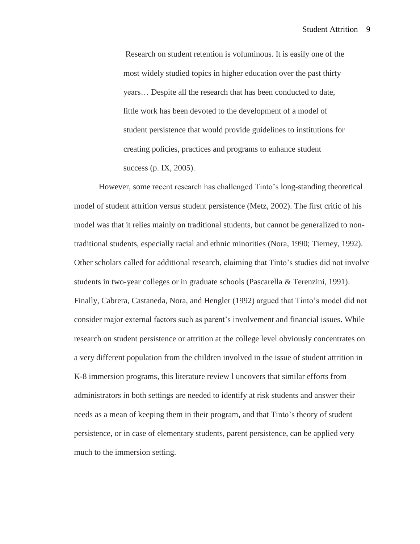Research on student retention is voluminous. It is easily one of the most widely studied topics in higher education over the past thirty years… Despite all the research that has been conducted to date, little work has been devoted to the development of a model of student persistence that would provide guidelines to institutions for creating policies, practices and programs to enhance student success (p. IX, 2005).

However, some recent research has challenged Tinto"s long-standing theoretical model of student attrition versus student persistence (Metz, 2002). The first critic of his model was that it relies mainly on traditional students, but cannot be generalized to nontraditional students, especially racial and ethnic minorities (Nora, 1990; Tierney, 1992). Other scholars called for additional research, claiming that Tinto"s studies did not involve students in two-year colleges or in graduate schools (Pascarella & Terenzini, 1991). Finally, Cabrera, Castaneda, Nora, and Hengler (1992) argued that Tinto"s model did not consider major external factors such as parent"s involvement and financial issues. While research on student persistence or attrition at the college level obviously concentrates on a very different population from the children involved in the issue of student attrition in K-8 immersion programs, this literature review l uncovers that similar efforts from administrators in both settings are needed to identify at risk students and answer their needs as a mean of keeping them in their program, and that Tinto"s theory of student persistence, or in case of elementary students, parent persistence, can be applied very much to the immersion setting.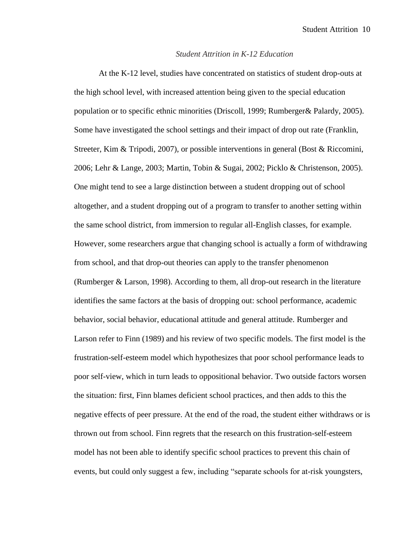## *Student Attrition in K-12 Education*

At the K-12 level, studies have concentrated on statistics of student drop-outs at the high school level, with increased attention being given to the special education population or to specific ethnic minorities (Driscoll, 1999; Rumberger& Palardy, 2005). Some have investigated the school settings and their impact of drop out rate (Franklin, Streeter, Kim & Tripodi, 2007), or possible interventions in general (Bost & Riccomini, 2006; Lehr & Lange, 2003; Martin, Tobin & Sugai, 2002; Picklo & Christenson, 2005). One might tend to see a large distinction between a student dropping out of school altogether, and a student dropping out of a program to transfer to another setting within the same school district, from immersion to regular all-English classes, for example. However, some researchers argue that changing school is actually a form of withdrawing from school, and that drop-out theories can apply to the transfer phenomenon (Rumberger & Larson, 1998). According to them, all drop-out research in the literature identifies the same factors at the basis of dropping out: school performance, academic behavior, social behavior, educational attitude and general attitude. Rumberger and Larson refer to Finn (1989) and his review of two specific models. The first model is the frustration-self-esteem model which hypothesizes that poor school performance leads to poor self-view, which in turn leads to oppositional behavior. Two outside factors worsen the situation: first, Finn blames deficient school practices, and then adds to this the negative effects of peer pressure. At the end of the road, the student either withdraws or is thrown out from school. Finn regrets that the research on this frustration-self-esteem model has not been able to identify specific school practices to prevent this chain of events, but could only suggest a few, including "separate schools for at-risk youngsters,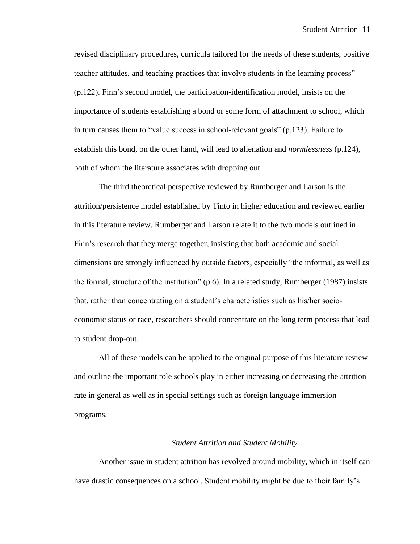revised disciplinary procedures, curricula tailored for the needs of these students, positive teacher attitudes, and teaching practices that involve students in the learning process" (p.122). Finn"s second model, the participation-identification model, insists on the importance of students establishing a bond or some form of attachment to school, which in turn causes them to "value success in school-relevant goals" (p.123). Failure to establish this bond, on the other hand, will lead to alienation and *normlessness* (p.124), both of whom the literature associates with dropping out.

The third theoretical perspective reviewed by Rumberger and Larson is the attrition/persistence model established by Tinto in higher education and reviewed earlier in this literature review. Rumberger and Larson relate it to the two models outlined in Finn's research that they merge together, insisting that both academic and social dimensions are strongly influenced by outside factors, especially "the informal, as well as the formal, structure of the institution" (p.6). In a related study, Rumberger (1987) insists that, rather than concentrating on a student"s characteristics such as his/her socioeconomic status or race, researchers should concentrate on the long term process that lead to student drop-out.

All of these models can be applied to the original purpose of this literature review and outline the important role schools play in either increasing or decreasing the attrition rate in general as well as in special settings such as foreign language immersion programs.

# *Student Attrition and Student Mobility*

Another issue in student attrition has revolved around mobility, which in itself can have drastic consequences on a school. Student mobility might be due to their family"s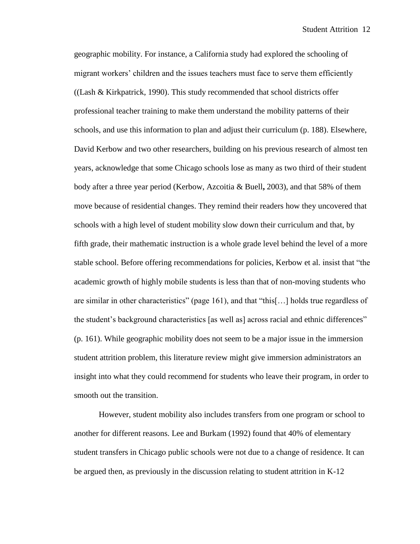geographic mobility. For instance, a California study had explored the schooling of migrant workers" children and the issues teachers must face to serve them efficiently ((Lash & Kirkpatrick, 1990). This study recommended that school districts offer professional teacher training to make them understand the mobility patterns of their schools, and use this information to plan and adjust their curriculum (p. 188). Elsewhere, David Kerbow and two other researchers, building on his previous research of almost ten years, acknowledge that some Chicago schools lose as many as two third of their student body after a three year period (Kerbow, Azcoitia & Buell**,** 2003), and that 58% of them move because of residential changes. They remind their readers how they uncovered that schools with a high level of student mobility slow down their curriculum and that, by fifth grade, their mathematic instruction is a whole grade level behind the level of a more stable school. Before offering recommendations for policies, Kerbow et al. insist that "the academic growth of highly mobile students is less than that of non-moving students who are similar in other characteristics" (page 161), and that "this[…] holds true regardless of the student"s background characteristics [as well as] across racial and ethnic differences" (p. 161). While geographic mobility does not seem to be a major issue in the immersion student attrition problem, this literature review might give immersion administrators an insight into what they could recommend for students who leave their program, in order to smooth out the transition.

However, student mobility also includes transfers from one program or school to another for different reasons. Lee and Burkam (1992) found that 40% of elementary student transfers in Chicago public schools were not due to a change of residence. It can be argued then, as previously in the discussion relating to student attrition in K-12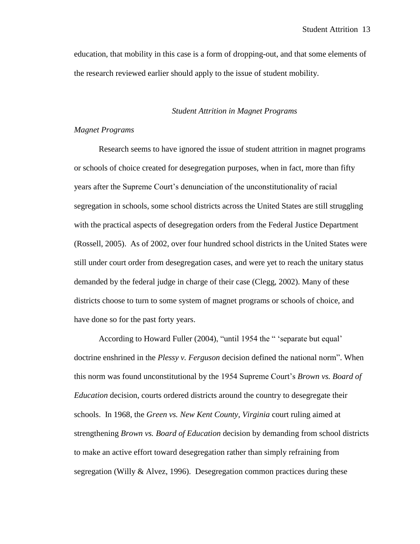education, that mobility in this case is a form of dropping-out, and that some elements of the research reviewed earlier should apply to the issue of student mobility.

# *Student Attrition in Magnet Programs*

## *Magnet Programs*

Research seems to have ignored the issue of student attrition in magnet programs or schools of choice created for desegregation purposes, when in fact, more than fifty years after the Supreme Court"s denunciation of the unconstitutionality of racial segregation in schools, some school districts across the United States are still struggling with the practical aspects of desegregation orders from the Federal Justice Department (Rossell, 2005). As of 2002, over four hundred school districts in the United States were still under court order from desegregation cases, and were yet to reach the unitary status demanded by the federal judge in charge of their case (Clegg, 2002). Many of these districts choose to turn to some system of magnet programs or schools of choice, and have done so for the past forty years.

According to Howard Fuller (2004), "until 1954 the " 'separate but equal' doctrine enshrined in the *Plessy v. Ferguson* decision defined the national norm". When this norm was found unconstitutional by the 1954 Supreme Court"s *Brown vs. Board of Education* decision, courts ordered districts around the country to desegregate their schools. In 1968, the *Green vs. New Kent County, Virginia* court ruling aimed at strengthening *Brown vs. Board of Education* decision by demanding from school districts to make an active effort toward desegregation rather than simply refraining from segregation (Willy & Alvez, 1996). Desegregation common practices during these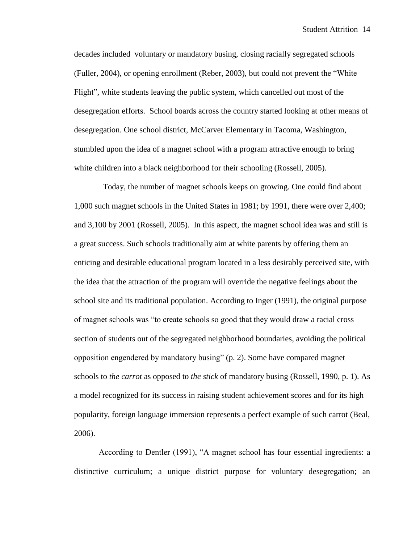decades included voluntary or mandatory busing, closing racially segregated schools (Fuller, 2004), or opening enrollment (Reber, 2003), but could not prevent the "White Flight", white students leaving the public system, which cancelled out most of the desegregation efforts. School boards across the country started looking at other means of desegregation. One school district, McCarver Elementary in Tacoma, Washington, stumbled upon the idea of a magnet school with a program attractive enough to bring white children into a black neighborhood for their schooling (Rossell, 2005).

 Today, the number of magnet schools keeps on growing. One could find about 1,000 such magnet schools in the United States in 1981; by 1991, there were over 2,400; and 3,100 by 2001 (Rossell, 2005). In this aspect, the magnet school idea was and still is a great success. Such schools traditionally aim at white parents by offering them an enticing and desirable educational program located in a less desirably perceived site, with the idea that the attraction of the program will override the negative feelings about the school site and its traditional population. According to Inger (1991), the original purpose of magnet schools was "to create schools so good that they would draw a racial cross section of students out of the segregated neighborhood boundaries, avoiding the political opposition engendered by mandatory busing" (p. 2). Some have compared magnet schools to *the carrot* as opposed to *the stick* of mandatory busing (Rossell, 1990, p. 1). As a model recognized for its success in raising student achievement scores and for its high popularity, foreign language immersion represents a perfect example of such carrot (Beal, 2006).

According to Dentler (1991), "A magnet school has four essential ingredients: a distinctive curriculum; a unique district purpose for voluntary desegregation; an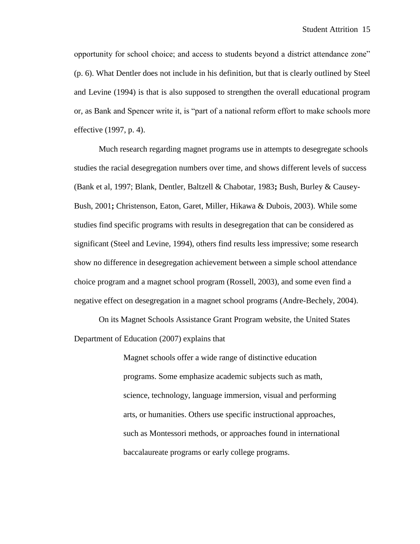opportunity for school choice; and access to students beyond a district attendance zone" (p. 6). What Dentler does not include in his definition, but that is clearly outlined by Steel and Levine (1994) is that is also supposed to strengthen the overall educational program or, as Bank and Spencer write it, is "part of a national reform effort to make schools more effective (1997, p. 4).

Much research regarding magnet programs use in attempts to desegregate schools studies the racial desegregation numbers over time, and shows different levels of success (Bank et al, 1997; Blank, Dentler, Baltzell & Chabotar, 1983**;** Bush, Burley & Causey-Bush, 2001**;** Christenson, Eaton, Garet, Miller, Hikawa & Dubois, 2003). While some studies find specific programs with results in desegregation that can be considered as significant (Steel and Levine, 1994), others find results less impressive; some research show no difference in desegregation achievement between a simple school attendance choice program and a magnet school program (Rossell, 2003), and some even find a negative effect on desegregation in a magnet school programs (Andre-Bechely, 2004).

On its Magnet Schools Assistance Grant Program website, the United States Department of Education (2007) explains that

> Magnet schools offer a wide range of distinctive education programs. Some emphasize academic subjects such as math, science, technology, language immersion, visual and performing arts, or humanities. Others use specific instructional approaches, such as Montessori methods, or approaches found in international baccalaureate programs or early college programs.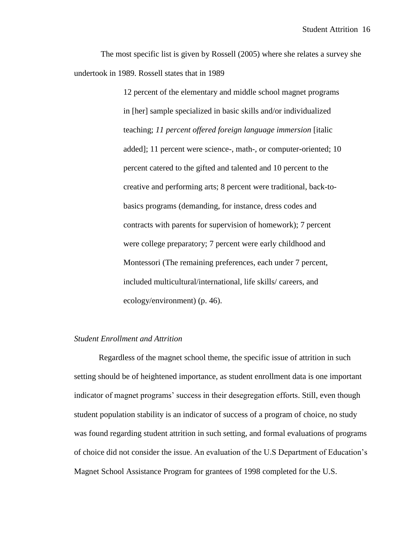The most specific list is given by Rossell (2005) where she relates a survey she undertook in 1989. Rossell states that in 1989

> 12 percent of the elementary and middle school magnet programs in [her] sample specialized in basic skills and/or individualized teaching; *11 percent offered foreign language immersion* [italic added]; 11 percent were science-, math-, or computer-oriented; 10 percent catered to the gifted and talented and 10 percent to the creative and performing arts; 8 percent were traditional, back-tobasics programs (demanding, for instance, dress codes and contracts with parents for supervision of homework); 7 percent were college preparatory; 7 percent were early childhood and Montessori (The remaining preferences, each under 7 percent, included multicultural/international, life skills/ careers, and ecology/environment) (p. 46).

# *Student Enrollment and Attrition*

Regardless of the magnet school theme, the specific issue of attrition in such setting should be of heightened importance, as student enrollment data is one important indicator of magnet programs' success in their desegregation efforts. Still, even though student population stability is an indicator of success of a program of choice, no study was found regarding student attrition in such setting, and formal evaluations of programs of choice did not consider the issue. An evaluation of the U.S Department of Education"s Magnet School Assistance Program for grantees of 1998 completed for the U.S.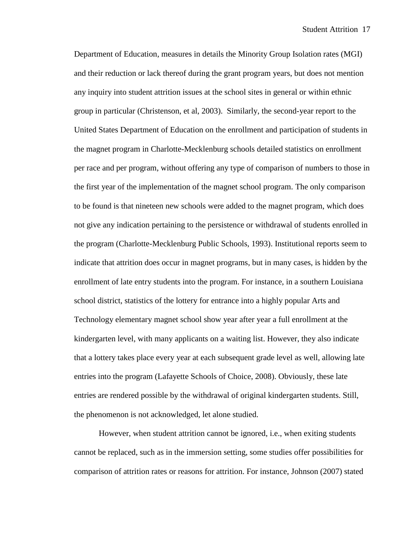Department of Education, measures in details the Minority Group Isolation rates (MGI) and their reduction or lack thereof during the grant program years, but does not mention any inquiry into student attrition issues at the school sites in general or within ethnic group in particular (Christenson, et al, 2003). Similarly, the second-year report to the United States Department of Education on the enrollment and participation of students in the magnet program in Charlotte-Mecklenburg schools detailed statistics on enrollment per race and per program, without offering any type of comparison of numbers to those in the first year of the implementation of the magnet school program. The only comparison to be found is that nineteen new schools were added to the magnet program, which does not give any indication pertaining to the persistence or withdrawal of students enrolled in the program (Charlotte-Mecklenburg Public Schools, 1993). Institutional reports seem to indicate that attrition does occur in magnet programs, but in many cases, is hidden by the enrollment of late entry students into the program. For instance, in a southern Louisiana school district, statistics of the lottery for entrance into a highly popular Arts and Technology elementary magnet school show year after year a full enrollment at the kindergarten level, with many applicants on a waiting list. However, they also indicate that a lottery takes place every year at each subsequent grade level as well, allowing late entries into the program (Lafayette Schools of Choice, 2008). Obviously, these late entries are rendered possible by the withdrawal of original kindergarten students. Still, the phenomenon is not acknowledged, let alone studied.

However, when student attrition cannot be ignored, i.e., when exiting students cannot be replaced, such as in the immersion setting, some studies offer possibilities for comparison of attrition rates or reasons for attrition. For instance, Johnson (2007) stated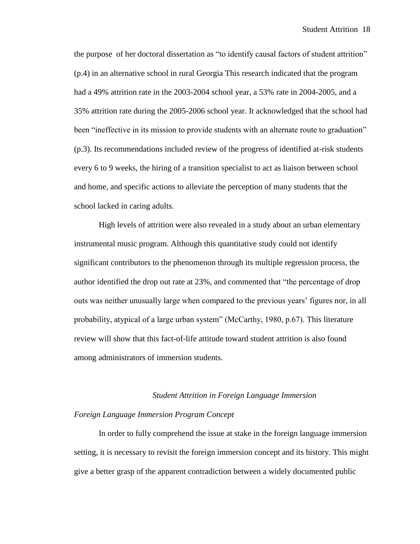the purpose of her doctoral dissertation as "to identify causal factors of student attrition" (p.4) in an alternative school in rural Georgia This research indicated that the program had a 49% attrition rate in the 2003-2004 school year, a 53% rate in 2004-2005, and a 35% attrition rate during the 2005-2006 school year. It acknowledged that the school had been "ineffective in its mission to provide students with an alternate route to graduation" (p.3). Its recommendations included review of the progress of identified at-risk students every 6 to 9 weeks, the hiring of a transition specialist to act as liaison between school and home, and specific actions to alleviate the perception of many students that the school lacked in caring adults.

High levels of attrition were also revealed in a study about an urban elementary instrumental music program. Although this quantitative study could not identify significant contributors to the phenomenon through its multiple regression process, the author identified the drop out rate at 23%, and commented that "the percentage of drop outs was neither unusually large when compared to the previous years" figures nor, in all probability, atypical of a large urban system" (McCarthy, 1980, p.67). This literature review will show that this fact-of-life attitude toward student attrition is also found among administrators of immersion students.

#### *Student Attrition in Foreign Language Immersion*

# *Foreign Language Immersion Program Concept*

In order to fully comprehend the issue at stake in the foreign language immersion setting, it is necessary to revisit the foreign immersion concept and its history. This might give a better grasp of the apparent contradiction between a widely documented public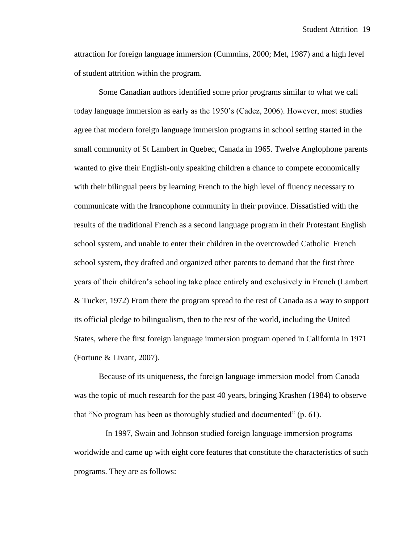attraction for foreign language immersion (Cummins, 2000; Met, 1987) and a high level of student attrition within the program.

Some Canadian authors identified some prior programs similar to what we call today language immersion as early as the 1950"s (Cadez, 2006). However, most studies agree that modern foreign language immersion programs in school setting started in the small community of St Lambert in Quebec, Canada in 1965. Twelve Anglophone parents wanted to give their English-only speaking children a chance to compete economically with their bilingual peers by learning French to the high level of fluency necessary to communicate with the francophone community in their province. Dissatisfied with the results of the traditional French as a second language program in their Protestant English school system, and unable to enter their children in the overcrowded Catholic French school system, they drafted and organized other parents to demand that the first three years of their children"s schooling take place entirely and exclusively in French (Lambert & Tucker, 1972) From there the program spread to the rest of Canada as a way to support its official pledge to bilingualism, then to the rest of the world, including the United States, where the first foreign language immersion program opened in California in 1971 (Fortune & Livant, 2007).

Because of its uniqueness, the foreign language immersion model from Canada was the topic of much research for the past 40 years, bringing Krashen (1984) to observe that "No program has been as thoroughly studied and documented" (p. 61).

In 1997, Swain and Johnson studied foreign language immersion programs worldwide and came up with eight core features that constitute the characteristics of such programs. They are as follows: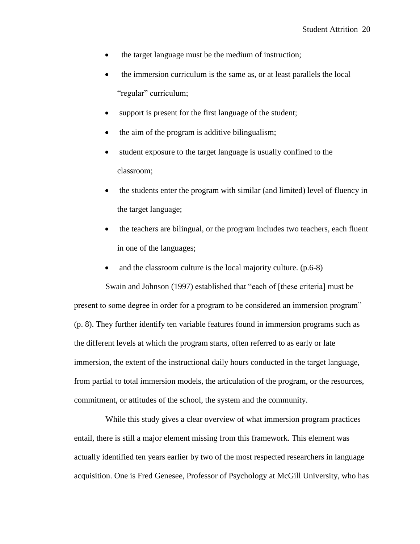- the target language must be the medium of instruction;
- the immersion curriculum is the same as, or at least parallels the local "regular" curriculum;
- support is present for the first language of the student;
- the aim of the program is additive bilingualism;
- student exposure to the target language is usually confined to the classroom;
- the students enter the program with similar (and limited) level of fluency in the target language;
- the teachers are bilingual, or the program includes two teachers, each fluent in one of the languages;
- and the classroom culture is the local majority culture. (p.6-8)

Swain and Johnson (1997) established that "each of [these criteria] must be present to some degree in order for a program to be considered an immersion program" (p. 8). They further identify ten variable features found in immersion programs such as the different levels at which the program starts, often referred to as early or late immersion, the extent of the instructional daily hours conducted in the target language, from partial to total immersion models, the articulation of the program, or the resources, commitment, or attitudes of the school, the system and the community.

While this study gives a clear overview of what immersion program practices entail, there is still a major element missing from this framework. This element was actually identified ten years earlier by two of the most respected researchers in language acquisition. One is Fred Genesee, Professor of Psychology at McGill University, who has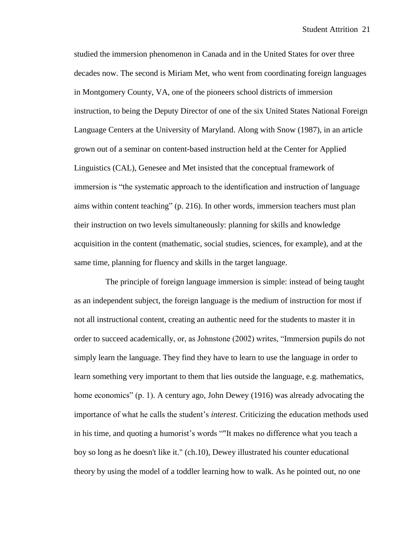studied the immersion phenomenon in Canada and in the United States for over three decades now. The second is Miriam Met, who went from coordinating foreign languages in Montgomery County, VA, one of the pioneers school districts of immersion instruction, to being the Deputy Director of one of the six United States National Foreign Language Centers at the University of Maryland. Along with Snow (1987), in an article grown out of a seminar on content-based instruction held at the Center for Applied Linguistics (CAL), Genesee and Met insisted that the conceptual framework of immersion is "the systematic approach to the identification and instruction of language aims within content teaching" (p. 216). In other words, immersion teachers must plan their instruction on two levels simultaneously: planning for skills and knowledge acquisition in the content (mathematic, social studies, sciences, for example), and at the same time, planning for fluency and skills in the target language.

The principle of foreign language immersion is simple: instead of being taught as an independent subject, the foreign language is the medium of instruction for most if not all instructional content, creating an authentic need for the students to master it in order to succeed academically, or, as Johnstone (2002) writes, "Immersion pupils do not simply learn the language. They find they have to learn to use the language in order to learn something very important to them that lies outside the language, e.g. mathematics, home economics" (p. 1). A century ago, John Dewey (1916) was already advocating the importance of what he calls the student"s *interest*. Criticizing the education methods used in his time, and quoting a humorist's words ""It makes no difference what you teach a boy so long as he doesn't like it." (ch.10), Dewey illustrated his counter educational theory by using the model of a toddler learning how to walk. As he pointed out, no one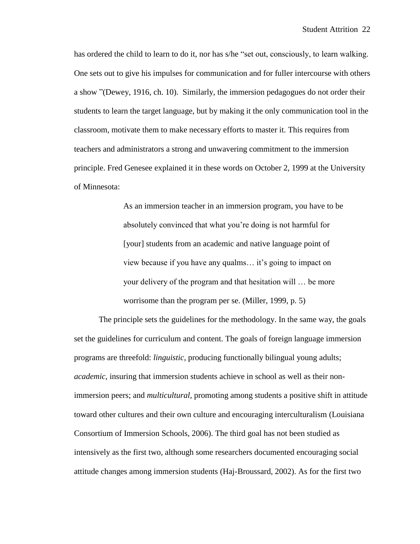has ordered the child to learn to do it, nor has s/he "set out, consciously, to learn walking. One sets out to give his impulses for communication and for fuller intercourse with others a show "(Dewey, 1916, ch. 10). Similarly, the immersion pedagogues do not order their students to learn the target language, but by making it the only communication tool in the classroom, motivate them to make necessary efforts to master it. This requires from teachers and administrators a strong and unwavering commitment to the immersion principle. Fred Genesee explained it in these words on October 2, 1999 at the University of Minnesota:

> As an immersion teacher in an immersion program, you have to be absolutely convinced that what you"re doing is not harmful for [your] students from an academic and native language point of view because if you have any qualms... it's going to impact on your delivery of the program and that hesitation will … be more worrisome than the program per se. (Miller, 1999, p. 5)

The principle sets the guidelines for the methodology. In the same way, the goals set the guidelines for curriculum and content. The goals of foreign language immersion programs are threefold: *linguistic*, producing functionally bilingual young adults; *academic*, insuring that immersion students achieve in school as well as their nonimmersion peers; and *multicultural*, promoting among students a positive shift in attitude toward other cultures and their own culture and encouraging interculturalism (Louisiana Consortium of Immersion Schools, 2006). The third goal has not been studied as intensively as the first two, although some researchers documented encouraging social attitude changes among immersion students (Haj-Broussard, 2002). As for the first two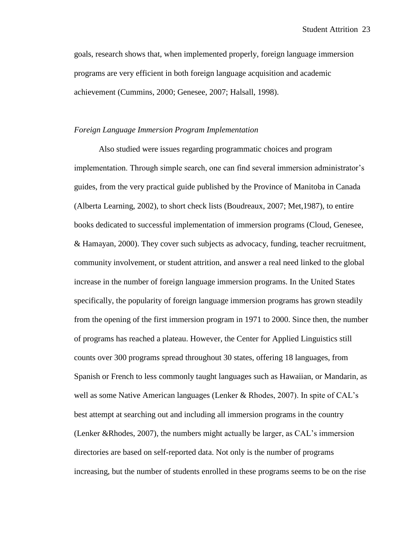goals, research shows that, when implemented properly, foreign language immersion programs are very efficient in both foreign language acquisition and academic achievement (Cummins, 2000; Genesee, 2007; Halsall, 1998).

## *Foreign Language Immersion Program Implementation*

Also studied were issues regarding programmatic choices and program implementation. Through simple search, one can find several immersion administrator"s guides, from the very practical guide published by the Province of Manitoba in Canada (Alberta Learning, 2002), to short check lists (Boudreaux, 2007; Met,1987), to entire books dedicated to successful implementation of immersion programs (Cloud, Genesee, & Hamayan, 2000). They cover such subjects as advocacy, funding, teacher recruitment, community involvement, or student attrition, and answer a real need linked to the global increase in the number of foreign language immersion programs. In the United States specifically, the popularity of foreign language immersion programs has grown steadily from the opening of the first immersion program in 1971 to 2000. Since then, the number of programs has reached a plateau. However, the Center for Applied Linguistics still counts over 300 programs spread throughout 30 states, offering 18 languages, from Spanish or French to less commonly taught languages such as Hawaiian, or Mandarin, as well as some Native American languages (Lenker & Rhodes, 2007). In spite of CAL"s best attempt at searching out and including all immersion programs in the country (Lenker &Rhodes, 2007), the numbers might actually be larger, as CAL"s immersion directories are based on self-reported data. Not only is the number of programs increasing, but the number of students enrolled in these programs seems to be on the rise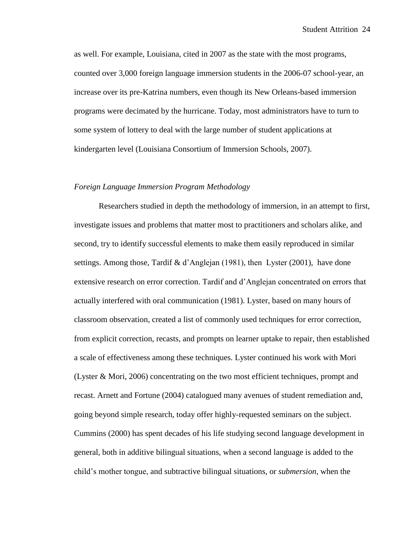as well. For example, Louisiana, cited in 2007 as the state with the most programs, counted over 3,000 foreign language immersion students in the 2006-07 school-year, an increase over its pre-Katrina numbers, even though its New Orleans-based immersion programs were decimated by the hurricane. Today, most administrators have to turn to some system of lottery to deal with the large number of student applications at kindergarten level (Louisiana Consortium of Immersion Schools, 2007).

# *Foreign Language Immersion Program Methodology*

Researchers studied in depth the methodology of immersion, in an attempt to first, investigate issues and problems that matter most to practitioners and scholars alike, and second, try to identify successful elements to make them easily reproduced in similar settings. Among those, Tardif & d'Anglejan (1981), then Lyster (2001), have done extensive research on error correction. Tardif and d"Anglejan concentrated on errors that actually interfered with oral communication (1981). Lyster, based on many hours of classroom observation, created a list of commonly used techniques for error correction, from explicit correction, recasts, and prompts on learner uptake to repair, then established a scale of effectiveness among these techniques. Lyster continued his work with Mori (Lyster & Mori, 2006) concentrating on the two most efficient techniques, prompt and recast. Arnett and Fortune (2004) catalogued many avenues of student remediation and, going beyond simple research, today offer highly-requested seminars on the subject. Cummins (2000) has spent decades of his life studying second language development in general, both in additive bilingual situations, when a second language is added to the child"s mother tongue, and subtractive bilingual situations, or *submersion*, when the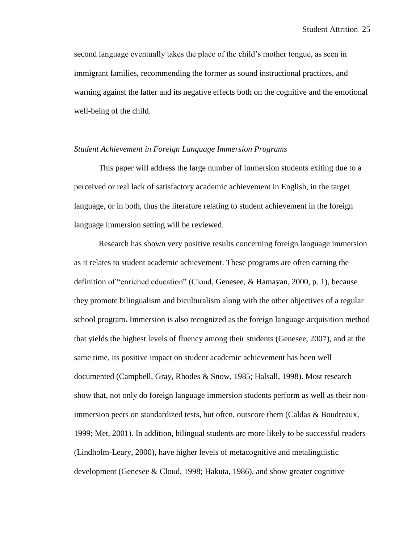second language eventually takes the place of the child"s mother tongue, as seen in immigrant families, recommending the former as sound instructional practices, and warning against the latter and its negative effects both on the cognitive and the emotional well-being of the child.

# *Student Achievement in Foreign Language Immersion Programs*

This paper will address the large number of immersion students exiting due to a perceived or real lack of satisfactory academic achievement in English, in the target language, or in both, thus the literature relating to student achievement in the foreign language immersion setting will be reviewed.

Research has shown very positive results concerning foreign language immersion as it relates to student academic achievement. These programs are often earning the definition of "enriched education" (Cloud, Genesee, & Hamayan, 2000, p. 1), because they promote bilingualism and biculturalism along with the other objectives of a regular school program. Immersion is also recognized as the foreign language acquisition method that yields the highest levels of fluency among their students (Genesee, 2007), and at the same time, its positive impact on student academic achievement has been well documented (Campbell, Gray, Rhodes & Snow, 1985; Halsall, 1998). Most research show that, not only do foreign language immersion students perform as well as their nonimmersion peers on standardized tests, but often, outscore them (Caldas & Boudreaux, 1999; Met, 2001). In addition, bilingual students are more likely to be successful readers (Lindholm-Leary, 2000), have higher levels of metacognitive and metalinguistic development (Genesee & Cloud, 1998; Hakuta, 1986), and show greater cognitive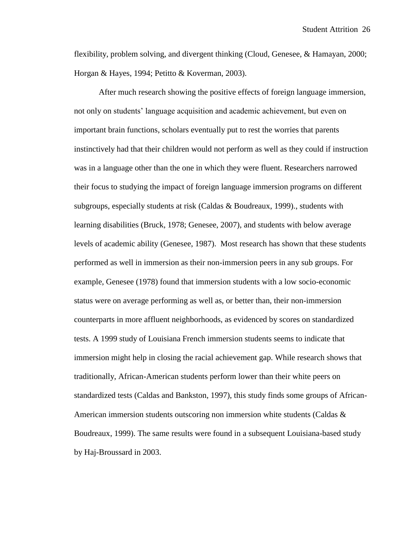flexibility, problem solving, and divergent thinking (Cloud, Genesee, & Hamayan, 2000; Horgan & Hayes, 1994; Petitto & Koverman, 2003).

After much research showing the positive effects of foreign language immersion, not only on students" language acquisition and academic achievement, but even on important brain functions, scholars eventually put to rest the worries that parents instinctively had that their children would not perform as well as they could if instruction was in a language other than the one in which they were fluent. Researchers narrowed their focus to studying the impact of foreign language immersion programs on different subgroups, especially students at risk (Caldas & Boudreaux, 1999)., students with learning disabilities (Bruck, 1978; Genesee, 2007), and students with below average levels of academic ability (Genesee, 1987). Most research has shown that these students performed as well in immersion as their non-immersion peers in any sub groups. For example, Genesee (1978) found that immersion students with a low socio-economic status were on average performing as well as, or better than, their non-immersion counterparts in more affluent neighborhoods, as evidenced by scores on standardized tests. A 1999 study of Louisiana French immersion students seems to indicate that immersion might help in closing the racial achievement gap. While research shows that traditionally, African-American students perform lower than their white peers on standardized tests (Caldas and Bankston, 1997), this study finds some groups of African-American immersion students outscoring non immersion white students (Caldas & Boudreaux, 1999). The same results were found in a subsequent Louisiana-based study by Haj-Broussard in 2003.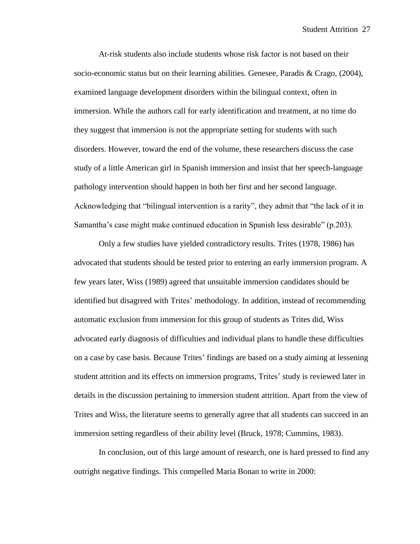At-risk students also include students whose risk factor is not based on their socio-economic status but on their learning abilities. Genesee, Paradis & Crago, (2004), examined language development disorders within the bilingual context, often in immersion. While the authors call for early identification and treatment, at no time do they suggest that immersion is not the appropriate setting for students with such disorders. However, toward the end of the volume, these researchers discuss the case study of a little American girl in Spanish immersion and insist that her speech-language pathology intervention should happen in both her first and her second language. Acknowledging that "bilingual intervention is a rarity", they admit that "the lack of it in Samantha's case might make continued education in Spanish less desirable" (p.203).

Only a few studies have yielded contradictory results. Trites (1978, 1986) has advocated that students should be tested prior to entering an early immersion program. A few years later, Wiss (1989) agreed that unsuitable immersion candidates should be identified but disagreed with Trites" methodology. In addition, instead of recommending automatic exclusion from immersion for this group of students as Trites did, Wiss advocated early diagnosis of difficulties and individual plans to handle these difficulties on a case by case basis. Because Trites" findings are based on a study aiming at lessening student attrition and its effects on immersion programs, Trites' study is reviewed later in details in the discussion pertaining to immersion student attrition. Apart from the view of Trites and Wiss, the literature seems to generally agree that all students can succeed in an immersion setting regardless of their ability level (Bruck, 1978; Cummins, 1983).

In conclusion, out of this large amount of research, one is hard pressed to find any outright negative findings. This compelled Maria Bonan to write in 2000: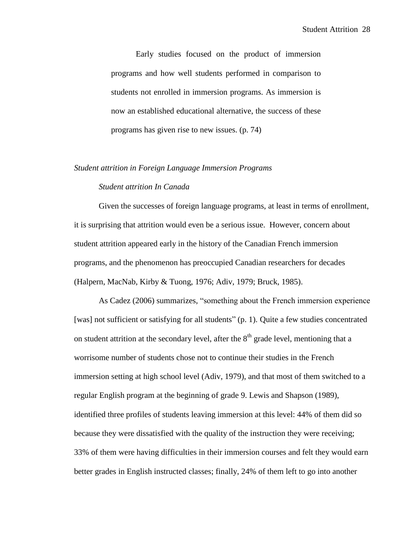Early studies focused on the product of immersion programs and how well students performed in comparison to students not enrolled in immersion programs. As immersion is now an established educational alternative, the success of these programs has given rise to new issues. (p. 74)

# *Student attrition in Foreign Language Immersion Programs*

# *Student attrition In Canada*

Given the successes of foreign language programs, at least in terms of enrollment, it is surprising that attrition would even be a serious issue. However, concern about student attrition appeared early in the history of the Canadian French immersion programs, and the phenomenon has preoccupied Canadian researchers for decades (Halpern, MacNab, Kirby & Tuong, 1976; Adiv, 1979; Bruck, 1985).

As Cadez (2006) summarizes, "something about the French immersion experience [was] not sufficient or satisfying for all students" (p. 1). Quite a few studies concentrated on student attrition at the secondary level, after the  $8<sup>th</sup>$  grade level, mentioning that a worrisome number of students chose not to continue their studies in the French immersion setting at high school level (Adiv, 1979), and that most of them switched to a regular English program at the beginning of grade 9. Lewis and Shapson (1989), identified three profiles of students leaving immersion at this level: 44% of them did so because they were dissatisfied with the quality of the instruction they were receiving; 33% of them were having difficulties in their immersion courses and felt they would earn better grades in English instructed classes; finally, 24% of them left to go into another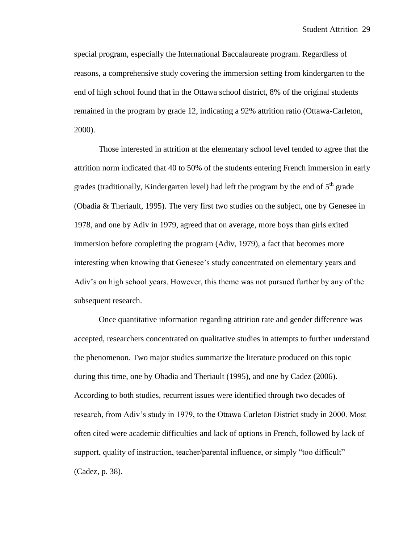special program, especially the International Baccalaureate program. Regardless of reasons, a comprehensive study covering the immersion setting from kindergarten to the end of high school found that in the Ottawa school district, 8% of the original students remained in the program by grade 12, indicating a 92% attrition ratio (Ottawa-Carleton, 2000).

Those interested in attrition at the elementary school level tended to agree that the attrition norm indicated that 40 to 50% of the students entering French immersion in early grades (traditionally, Kindergarten level) had left the program by the end of  $5<sup>th</sup>$  grade (Obadia & Theriault, 1995). The very first two studies on the subject, one by Genesee in 1978, and one by Adiv in 1979, agreed that on average, more boys than girls exited immersion before completing the program (Adiv, 1979), a fact that becomes more interesting when knowing that Genesee"s study concentrated on elementary years and Adiv"s on high school years. However, this theme was not pursued further by any of the subsequent research.

Once quantitative information regarding attrition rate and gender difference was accepted, researchers concentrated on qualitative studies in attempts to further understand the phenomenon. Two major studies summarize the literature produced on this topic during this time, one by Obadia and Theriault (1995), and one by Cadez (2006). According to both studies, recurrent issues were identified through two decades of research, from Adiv"s study in 1979, to the Ottawa Carleton District study in 2000. Most often cited were academic difficulties and lack of options in French, followed by lack of support, quality of instruction, teacher/parental influence, or simply "too difficult" (Cadez, p. 38).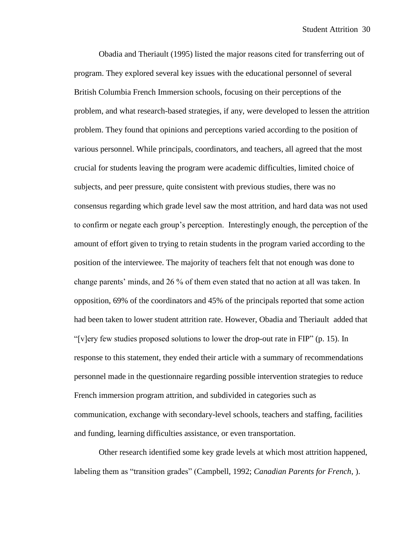Obadia and Theriault (1995) listed the major reasons cited for transferring out of program. They explored several key issues with the educational personnel of several British Columbia French Immersion schools, focusing on their perceptions of the problem, and what research-based strategies, if any, were developed to lessen the attrition problem. They found that opinions and perceptions varied according to the position of various personnel. While principals, coordinators, and teachers, all agreed that the most crucial for students leaving the program were academic difficulties, limited choice of subjects, and peer pressure, quite consistent with previous studies, there was no consensus regarding which grade level saw the most attrition, and hard data was not used to confirm or negate each group"s perception. Interestingly enough, the perception of the amount of effort given to trying to retain students in the program varied according to the position of the interviewee. The majority of teachers felt that not enough was done to change parents" minds, and 26 % of them even stated that no action at all was taken. In opposition, 69% of the coordinators and 45% of the principals reported that some action had been taken to lower student attrition rate. However, Obadia and Theriault added that "[v]ery few studies proposed solutions to lower the drop-out rate in FIP" (p. 15). In response to this statement, they ended their article with a summary of recommendations personnel made in the questionnaire regarding possible intervention strategies to reduce French immersion program attrition, and subdivided in categories such as communication, exchange with secondary-level schools, teachers and staffing, facilities and funding, learning difficulties assistance, or even transportation.

Other research identified some key grade levels at which most attrition happened, labeling them as "transition grades" (Campbell, 1992; *Canadian Parents for French*, ).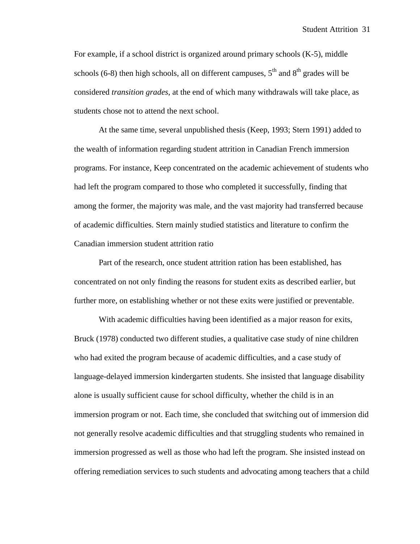For example, if a school district is organized around primary schools (K-5), middle schools (6-8) then high schools, all on different campuses,  $5<sup>th</sup>$  and  $8<sup>th</sup>$  grades will be considered *transition grades*, at the end of which many withdrawals will take place, as students chose not to attend the next school.

At the same time, several unpublished thesis (Keep, 1993; Stern 1991) added to the wealth of information regarding student attrition in Canadian French immersion programs. For instance, Keep concentrated on the academic achievement of students who had left the program compared to those who completed it successfully, finding that among the former, the majority was male, and the vast majority had transferred because of academic difficulties. Stern mainly studied statistics and literature to confirm the Canadian immersion student attrition ratio

Part of the research, once student attrition ration has been established, has concentrated on not only finding the reasons for student exits as described earlier, but further more, on establishing whether or not these exits were justified or preventable.

With academic difficulties having been identified as a major reason for exits, Bruck (1978) conducted two different studies, a qualitative case study of nine children who had exited the program because of academic difficulties, and a case study of language-delayed immersion kindergarten students. She insisted that language disability alone is usually sufficient cause for school difficulty, whether the child is in an immersion program or not. Each time, she concluded that switching out of immersion did not generally resolve academic difficulties and that struggling students who remained in immersion progressed as well as those who had left the program. She insisted instead on offering remediation services to such students and advocating among teachers that a child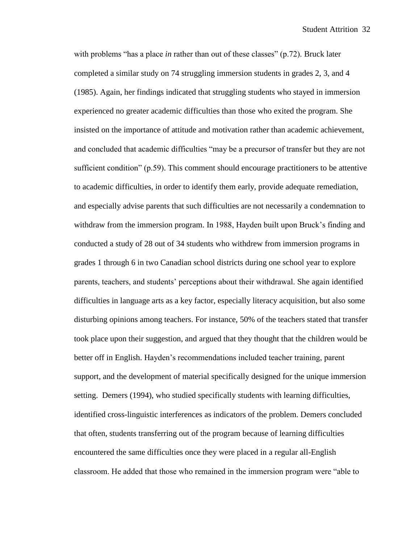with problems "has a place *in* rather than out of these classes" (p.72). Bruck later completed a similar study on 74 struggling immersion students in grades 2, 3, and 4 (1985). Again, her findings indicated that struggling students who stayed in immersion experienced no greater academic difficulties than those who exited the program. She insisted on the importance of attitude and motivation rather than academic achievement, and concluded that academic difficulties "may be a precursor of transfer but they are not sufficient condition" (p.59). This comment should encourage practitioners to be attentive to academic difficulties, in order to identify them early, provide adequate remediation, and especially advise parents that such difficulties are not necessarily a condemnation to withdraw from the immersion program. In 1988, Hayden built upon Bruck's finding and conducted a study of 28 out of 34 students who withdrew from immersion programs in grades 1 through 6 in two Canadian school districts during one school year to explore parents, teachers, and students" perceptions about their withdrawal. She again identified difficulties in language arts as a key factor, especially literacy acquisition, but also some disturbing opinions among teachers. For instance, 50% of the teachers stated that transfer took place upon their suggestion, and argued that they thought that the children would be better off in English. Hayden"s recommendations included teacher training, parent support, and the development of material specifically designed for the unique immersion setting. Demers (1994), who studied specifically students with learning difficulties, identified cross-linguistic interferences as indicators of the problem. Demers concluded that often, students transferring out of the program because of learning difficulties encountered the same difficulties once they were placed in a regular all-English classroom. He added that those who remained in the immersion program were "able to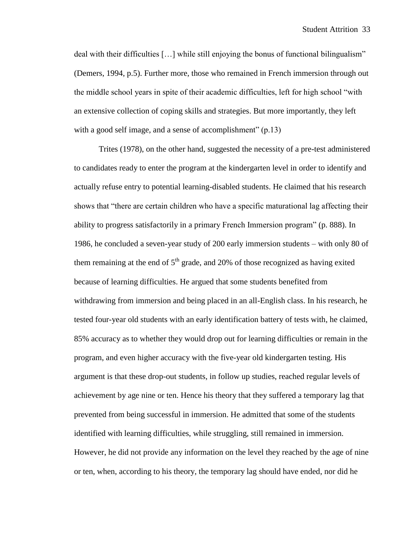deal with their difficulties […] while still enjoying the bonus of functional bilingualism" (Demers, 1994, p.5). Further more, those who remained in French immersion through out the middle school years in spite of their academic difficulties, left for high school "with an extensive collection of coping skills and strategies. But more importantly, they left with a good self image, and a sense of accomplishment" (p.13)

Trites (1978), on the other hand, suggested the necessity of a pre-test administered to candidates ready to enter the program at the kindergarten level in order to identify and actually refuse entry to potential learning-disabled students. He claimed that his research shows that "there are certain children who have a specific maturational lag affecting their ability to progress satisfactorily in a primary French Immersion program" (p. 888). In 1986, he concluded a seven-year study of 200 early immersion students – with only 80 of them remaining at the end of  $5<sup>th</sup>$  grade, and 20% of those recognized as having exited because of learning difficulties. He argued that some students benefited from withdrawing from immersion and being placed in an all-English class. In his research, he tested four-year old students with an early identification battery of tests with, he claimed, 85% accuracy as to whether they would drop out for learning difficulties or remain in the program, and even higher accuracy with the five-year old kindergarten testing. His argument is that these drop-out students, in follow up studies, reached regular levels of achievement by age nine or ten. Hence his theory that they suffered a temporary lag that prevented from being successful in immersion. He admitted that some of the students identified with learning difficulties, while struggling, still remained in immersion. However, he did not provide any information on the level they reached by the age of nine or ten, when, according to his theory, the temporary lag should have ended, nor did he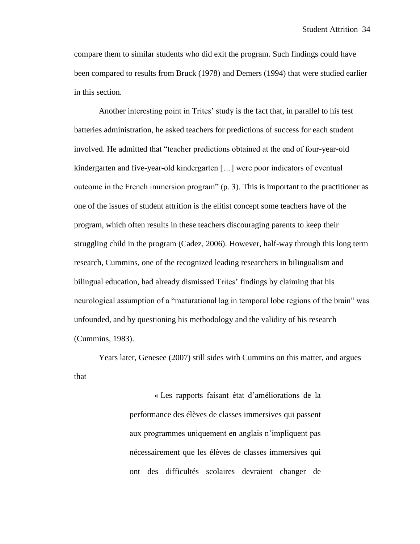compare them to similar students who did exit the program. Such findings could have been compared to results from Bruck (1978) and Demers (1994) that were studied earlier in this section.

Another interesting point in Trites' study is the fact that, in parallel to his test batteries administration, he asked teachers for predictions of success for each student involved. He admitted that "teacher predictions obtained at the end of four-year-old kindergarten and five-year-old kindergarten […] were poor indicators of eventual outcome in the French immersion program" (p. 3). This is important to the practitioner as one of the issues of student attrition is the elitist concept some teachers have of the program, which often results in these teachers discouraging parents to keep their struggling child in the program (Cadez, 2006). However, half-way through this long term research, Cummins, one of the recognized leading researchers in bilingualism and bilingual education, had already dismissed Trites' findings by claiming that his neurological assumption of a "maturational lag in temporal lobe regions of the brain" was unfounded, and by questioning his methodology and the validity of his research (Cummins, 1983).

Years later, Genesee (2007) still sides with Cummins on this matter, and argues that

> « Les rapports faisant état d"améliorations de la performance des élèves de classes immersives qui passent aux programmes uniquement en anglais n"impliquent pas nécessairement que les élèves de classes immersives qui ont des difficultés scolaires devraient changer de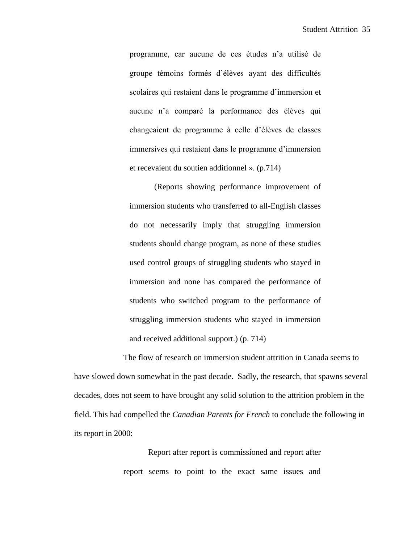programme, car aucune de ces études n"a utilisé de groupe témoins formés d"élèves ayant des difficultés scolaires qui restaient dans le programme d"immersion et aucune n"a comparé la performance des élèves qui changeaient de programme à celle d"élèves de classes immersives qui restaient dans le programme d"immersion et recevaient du soutien additionnel ». (p.714)

(Reports showing performance improvement of immersion students who transferred to all-English classes do not necessarily imply that struggling immersion students should change program, as none of these studies used control groups of struggling students who stayed in immersion and none has compared the performance of students who switched program to the performance of struggling immersion students who stayed in immersion and received additional support.) (p. 714)

The flow of research on immersion student attrition in Canada seems to have slowed down somewhat in the past decade. Sadly, the research, that spawns several decades, does not seem to have brought any solid solution to the attrition problem in the field. This had compelled the *Canadian Parents for French* to conclude the following in its report in 2000:

> Report after report is commissioned and report after report seems to point to the exact same issues and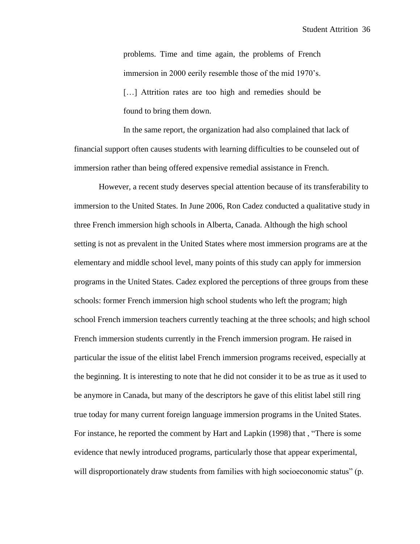problems. Time and time again, the problems of French immersion in 2000 eerily resemble those of the mid 1970's. [...] Attrition rates are too high and remedies should be found to bring them down.

In the same report, the organization had also complained that lack of financial support often causes students with learning difficulties to be counseled out of immersion rather than being offered expensive remedial assistance in French.

However, a recent study deserves special attention because of its transferability to immersion to the United States. In June 2006, Ron Cadez conducted a qualitative study in three French immersion high schools in Alberta, Canada. Although the high school setting is not as prevalent in the United States where most immersion programs are at the elementary and middle school level, many points of this study can apply for immersion programs in the United States. Cadez explored the perceptions of three groups from these schools: former French immersion high school students who left the program; high school French immersion teachers currently teaching at the three schools; and high school French immersion students currently in the French immersion program. He raised in particular the issue of the elitist label French immersion programs received, especially at the beginning. It is interesting to note that he did not consider it to be as true as it used to be anymore in Canada, but many of the descriptors he gave of this elitist label still ring true today for many current foreign language immersion programs in the United States. For instance, he reported the comment by Hart and Lapkin (1998) that , "There is some evidence that newly introduced programs, particularly those that appear experimental, will disproportionately draw students from families with high socioeconomic status" (p.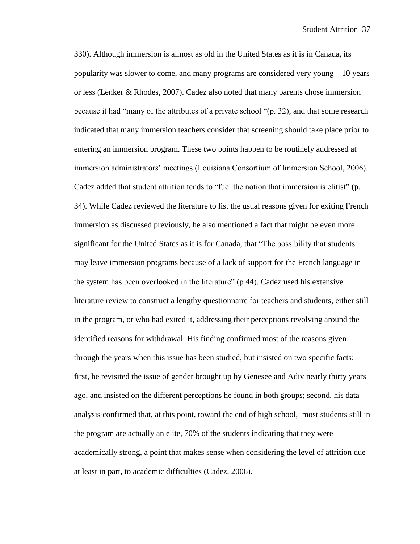330). Although immersion is almost as old in the United States as it is in Canada, its popularity was slower to come, and many programs are considered very young – 10 years or less (Lenker & Rhodes, 2007). Cadez also noted that many parents chose immersion because it had "many of the attributes of a private school "(p. 32), and that some research indicated that many immersion teachers consider that screening should take place prior to entering an immersion program. These two points happen to be routinely addressed at immersion administrators' meetings (Louisiana Consortium of Immersion School, 2006). Cadez added that student attrition tends to "fuel the notion that immersion is elitist" (p. 34). While Cadez reviewed the literature to list the usual reasons given for exiting French immersion as discussed previously, he also mentioned a fact that might be even more significant for the United States as it is for Canada, that "The possibility that students may leave immersion programs because of a lack of support for the French language in the system has been overlooked in the literature" (p 44). Cadez used his extensive literature review to construct a lengthy questionnaire for teachers and students, either still in the program, or who had exited it, addressing their perceptions revolving around the identified reasons for withdrawal. His finding confirmed most of the reasons given through the years when this issue has been studied, but insisted on two specific facts: first, he revisited the issue of gender brought up by Genesee and Adiv nearly thirty years ago, and insisted on the different perceptions he found in both groups; second, his data analysis confirmed that, at this point, toward the end of high school, most students still in the program are actually an elite, 70% of the students indicating that they were academically strong, a point that makes sense when considering the level of attrition due at least in part, to academic difficulties (Cadez, 2006).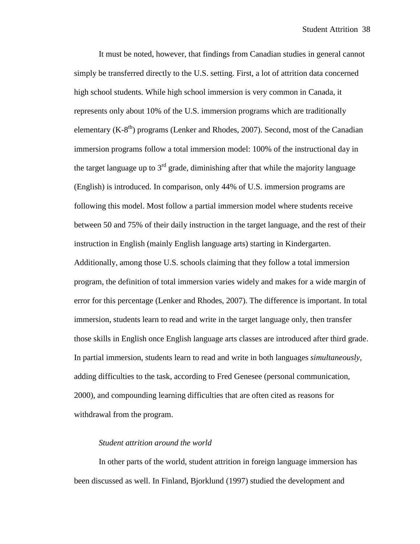It must be noted, however, that findings from Canadian studies in general cannot simply be transferred directly to the U.S. setting. First, a lot of attrition data concerned high school students. While high school immersion is very common in Canada, it represents only about 10% of the U.S. immersion programs which are traditionally elementary  $(K-8<sup>th</sup>)$  programs (Lenker and Rhodes, 2007). Second, most of the Canadian immersion programs follow a total immersion model: 100% of the instructional day in the target language up to  $3<sup>rd</sup>$  grade, diminishing after that while the majority language (English) is introduced. In comparison, only 44% of U.S. immersion programs are following this model. Most follow a partial immersion model where students receive between 50 and 75% of their daily instruction in the target language, and the rest of their instruction in English (mainly English language arts) starting in Kindergarten. Additionally, among those U.S. schools claiming that they follow a total immersion program, the definition of total immersion varies widely and makes for a wide margin of error for this percentage (Lenker and Rhodes, 2007). The difference is important. In total immersion, students learn to read and write in the target language only, then transfer those skills in English once English language arts classes are introduced after third grade. In partial immersion, students learn to read and write in both languages *simultaneously*, adding difficulties to the task, according to Fred Genesee (personal communication, 2000), and compounding learning difficulties that are often cited as reasons for withdrawal from the program.

# *Student attrition around the world*

In other parts of the world, student attrition in foreign language immersion has been discussed as well. In Finland, Bjorklund (1997) studied the development and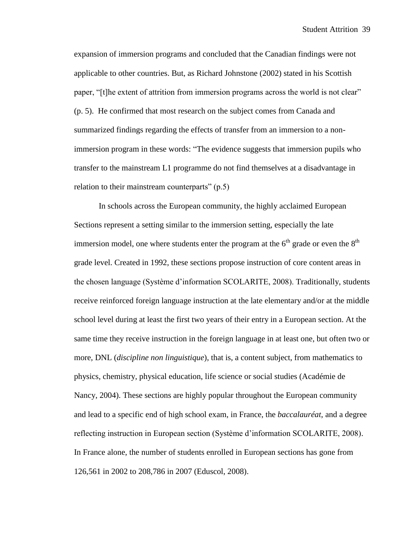expansion of immersion programs and concluded that the Canadian findings were not applicable to other countries. But, as Richard Johnstone (2002) stated in his Scottish paper, "[t]he extent of attrition from immersion programs across the world is not clear" (p. 5). He confirmed that most research on the subject comes from Canada and summarized findings regarding the effects of transfer from an immersion to a nonimmersion program in these words: "The evidence suggests that immersion pupils who transfer to the mainstream L1 programme do not find themselves at a disadvantage in relation to their mainstream counterparts" (p.5)

In schools across the European community, the highly acclaimed European Sections represent a setting similar to the immersion setting, especially the late immersion model, one where students enter the program at the  $6<sup>th</sup>$  grade or even the  $8<sup>th</sup>$ grade level. Created in 1992, these sections propose instruction of core content areas in the chosen language (Système d"information SCOLARITE, 2008). Traditionally, students receive reinforced foreign language instruction at the late elementary and/or at the middle school level during at least the first two years of their entry in a European section. At the same time they receive instruction in the foreign language in at least one, but often two or more, DNL (*discipline non linguistique*), that is, a content subject, from mathematics to physics, chemistry, physical education, life science or social studies (Académie de Nancy, 2004). These sections are highly popular throughout the European community and lead to a specific end of high school exam, in France, the *baccalauréat*, and a degree reflecting instruction in European section (Système d"information SCOLARITE, 2008). In France alone, the number of students enrolled in European sections has gone from 126,561 in 2002 to 208,786 in 2007 (Eduscol, 2008).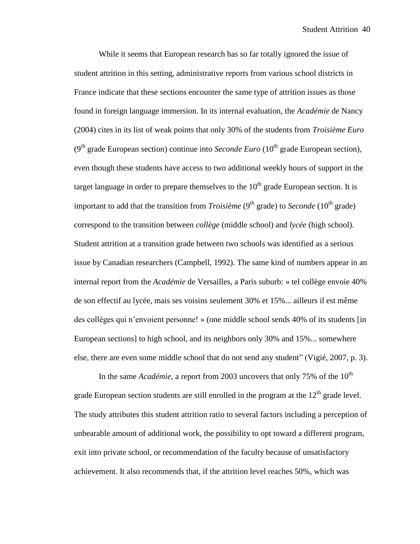While it seems that European research has so far totally ignored the issue of student attrition in this setting, administrative reports from various school districts in France indicate that these sections encounter the same type of attrition issues as those found in foreign language immersion. In its internal evaluation, the *Académie* de Nancy (2004) cites in its list of weak points that only 30% of the students from *Troisième Euro*  $(9<sup>th</sup> grade European section) continue into *Seconde Euro* (10<sup>th</sup> grade European section),$ even though these students have access to two additional weekly hours of support in the target language in order to prepare themselves to the  $10<sup>th</sup>$  grade European section. It is important to add that the transition from *Troisième* (9<sup>th</sup> grade) to *Seconde* (10<sup>th</sup> grade) correspond to the transition between *collège* (middle school) and *lycée* (high school). Student attrition at a transition grade between two schools was identified as a serious issue by Canadian researchers (Campbell, 1992). The same kind of numbers appear in an internal report from the *Académie* de Versailles, a Paris suburb: « tel collège envoie 40% de son effectif au lycée, mais ses voisins seulement 30% et 15%... ailleurs il est même des collèges qui n"envoient personne! » (one middle school sends 40% of its students [in European sections] to high school, and its neighbors only 30% and 15%... somewhere else, there are even some middle school that do not send any student" (Vigié, 2007, p. 3).

In the same *Académie*, a report from 2003 uncovers that only 75% of the 10<sup>th</sup> grade European section students are still enrolled in the program at the  $12<sup>th</sup>$  grade level. The study attributes this student attrition ratio to several factors including a perception of unbearable amount of additional work, the possibility to opt toward a different program, exit into private school, or recommendation of the faculty because of unsatisfactory achievement. It also recommends that, if the attrition level reaches 50%, which was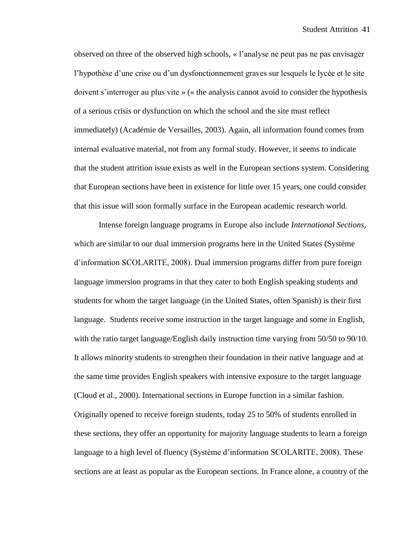observed on three of the observed high schools, « l"analyse ne peut pas ne pas envisager l'hypothèse d'une crise ou d'un dysfonctionnement graves sur lesquels le lycée et le site doivent s"interroger au plus vite » (« the analysis cannot avoid to consider the hypothesis of a serious crisis or dysfunction on which the school and the site must reflect immediately) (Académie de Versailles, 2003). Again, all information found comes from internal evaluative material, not from any formal study. However, it seems to indicate that the student attrition issue exists as well in the European sections system. Considering that European sections have been in existence for little over 15 years, one could consider that this issue will soon formally surface in the European academic research world.

Intense foreign language programs in Europe also include *International Sections,* which are similar to our dual immersion programs here in the United States (Système d"information SCOLARITE, 2008). Dual immersion programs differ from pure foreign language immersion programs in that they cater to both English speaking students and students for whom the target language (in the United States, often Spanish) is their first language. Students receive some instruction in the target language and some in English, with the ratio target language/English daily instruction time varying from 50/50 to 90/10. It allows minority students to strengthen their foundation in their native language and at the same time provides English speakers with intensive exposure to the target language (Cloud et al., 2000). International sections in Europe function in a similar fashion. Originally opened to receive foreign students, today 25 to 50% of students enrolled in these sections, they offer an opportunity for majority language students to learn a foreign language to a high level of fluency (Système d"information SCOLARITE, 2008). These sections are at least as popular as the European sections. In France alone, a country of the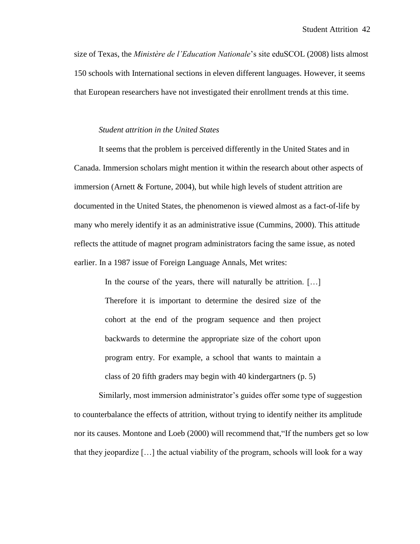size of Texas, the *Ministère de l'Education Nationale*"s site eduSCOL (2008) lists almost 150 schools with International sections in eleven different languages. However, it seems that European researchers have not investigated their enrollment trends at this time.

# *Student attrition in the United States*

It seems that the problem is perceived differently in the United States and in Canada. Immersion scholars might mention it within the research about other aspects of immersion (Arnett & Fortune, 2004), but while high levels of student attrition are documented in the United States, the phenomenon is viewed almost as a fact-of-life by many who merely identify it as an administrative issue (Cummins, 2000). This attitude reflects the attitude of magnet program administrators facing the same issue, as noted earlier. In a 1987 issue of Foreign Language Annals, Met writes:

> In the course of the years, there will naturally be attrition. [...] Therefore it is important to determine the desired size of the cohort at the end of the program sequence and then project backwards to determine the appropriate size of the cohort upon program entry. For example, a school that wants to maintain a class of 20 fifth graders may begin with 40 kindergartners (p. 5)

Similarly, most immersion administrator's guides offer some type of suggestion to counterbalance the effects of attrition, without trying to identify neither its amplitude nor its causes. Montone and Loeb (2000) will recommend that,"If the numbers get so low that they jeopardize […] the actual viability of the program, schools will look for a way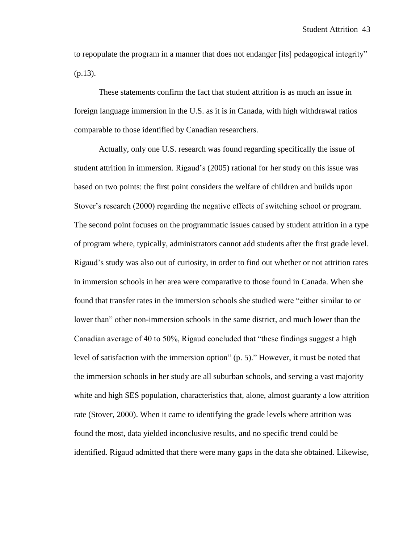to repopulate the program in a manner that does not endanger [its] pedagogical integrity" (p.13).

These statements confirm the fact that student attrition is as much an issue in foreign language immersion in the U.S. as it is in Canada, with high withdrawal ratios comparable to those identified by Canadian researchers.

Actually, only one U.S. research was found regarding specifically the issue of student attrition in immersion. Rigaud"s (2005) rational for her study on this issue was based on two points: the first point considers the welfare of children and builds upon Stover"s research (2000) regarding the negative effects of switching school or program. The second point focuses on the programmatic issues caused by student attrition in a type of program where, typically, administrators cannot add students after the first grade level. Rigaud"s study was also out of curiosity, in order to find out whether or not attrition rates in immersion schools in her area were comparative to those found in Canada. When she found that transfer rates in the immersion schools she studied were "either similar to or lower than" other non-immersion schools in the same district, and much lower than the Canadian average of 40 to 50%, Rigaud concluded that "these findings suggest a high level of satisfaction with the immersion option" (p. 5)." However, it must be noted that the immersion schools in her study are all suburban schools, and serving a vast majority white and high SES population, characteristics that, alone, almost guaranty a low attrition rate (Stover, 2000). When it came to identifying the grade levels where attrition was found the most, data yielded inconclusive results, and no specific trend could be identified. Rigaud admitted that there were many gaps in the data she obtained. Likewise,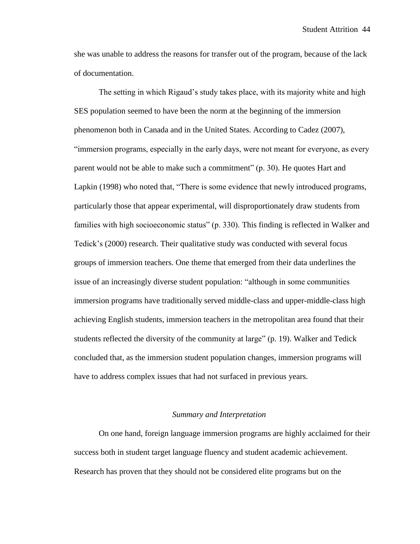she was unable to address the reasons for transfer out of the program, because of the lack of documentation.

The setting in which Rigaud"s study takes place, with its majority white and high SES population seemed to have been the norm at the beginning of the immersion phenomenon both in Canada and in the United States. According to Cadez (2007), "immersion programs, especially in the early days, were not meant for everyone, as every parent would not be able to make such a commitment" (p. 30). He quotes Hart and Lapkin (1998) who noted that, "There is some evidence that newly introduced programs, particularly those that appear experimental, will disproportionately draw students from families with high socioeconomic status" (p. 330). This finding is reflected in Walker and Tedick"s (2000) research. Their qualitative study was conducted with several focus groups of immersion teachers. One theme that emerged from their data underlines the issue of an increasingly diverse student population: "although in some communities immersion programs have traditionally served middle-class and upper-middle-class high achieving English students, immersion teachers in the metropolitan area found that their students reflected the diversity of the community at large" (p. 19). Walker and Tedick concluded that, as the immersion student population changes, immersion programs will have to address complex issues that had not surfaced in previous years.

# *Summary and Interpretation*

On one hand, foreign language immersion programs are highly acclaimed for their success both in student target language fluency and student academic achievement. Research has proven that they should not be considered elite programs but on the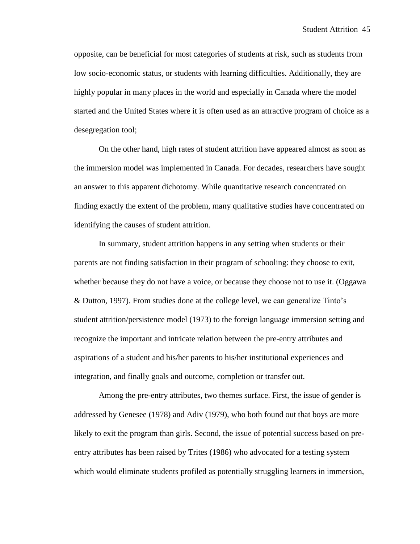opposite, can be beneficial for most categories of students at risk, such as students from low socio-economic status, or students with learning difficulties. Additionally, they are highly popular in many places in the world and especially in Canada where the model started and the United States where it is often used as an attractive program of choice as a desegregation tool;

On the other hand, high rates of student attrition have appeared almost as soon as the immersion model was implemented in Canada. For decades, researchers have sought an answer to this apparent dichotomy. While quantitative research concentrated on finding exactly the extent of the problem, many qualitative studies have concentrated on identifying the causes of student attrition.

In summary, student attrition happens in any setting when students or their parents are not finding satisfaction in their program of schooling: they choose to exit, whether because they do not have a voice, or because they choose not to use it. (Oggawa & Dutton, 1997). From studies done at the college level, we can generalize Tinto"s student attrition/persistence model (1973) to the foreign language immersion setting and recognize the important and intricate relation between the pre-entry attributes and aspirations of a student and his/her parents to his/her institutional experiences and integration, and finally goals and outcome, completion or transfer out.

Among the pre-entry attributes, two themes surface. First, the issue of gender is addressed by Genesee (1978) and Adiv (1979), who both found out that boys are more likely to exit the program than girls. Second, the issue of potential success based on preentry attributes has been raised by Trites (1986) who advocated for a testing system which would eliminate students profiled as potentially struggling learners in immersion,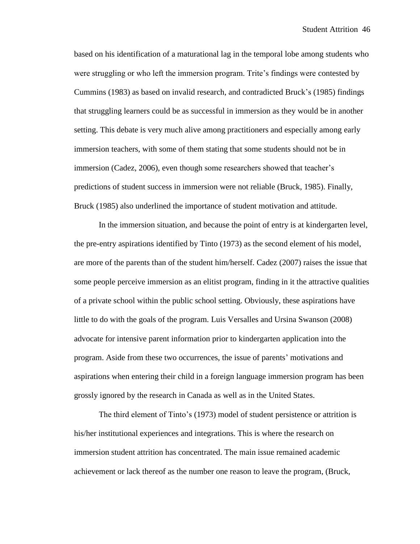based on his identification of a maturational lag in the temporal lobe among students who were struggling or who left the immersion program. Trite's findings were contested by Cummins (1983) as based on invalid research, and contradicted Bruck"s (1985) findings that struggling learners could be as successful in immersion as they would be in another setting. This debate is very much alive among practitioners and especially among early immersion teachers, with some of them stating that some students should not be in immersion (Cadez, 2006), even though some researchers showed that teacher"s predictions of student success in immersion were not reliable (Bruck, 1985). Finally, Bruck (1985) also underlined the importance of student motivation and attitude.

In the immersion situation, and because the point of entry is at kindergarten level, the pre-entry aspirations identified by Tinto (1973) as the second element of his model, are more of the parents than of the student him/herself. Cadez (2007) raises the issue that some people perceive immersion as an elitist program, finding in it the attractive qualities of a private school within the public school setting. Obviously, these aspirations have little to do with the goals of the program. Luis Versalles and Ursina Swanson (2008) advocate for intensive parent information prior to kindergarten application into the program. Aside from these two occurrences, the issue of parents" motivations and aspirations when entering their child in a foreign language immersion program has been grossly ignored by the research in Canada as well as in the United States.

The third element of Tinto"s (1973) model of student persistence or attrition is his/her institutional experiences and integrations. This is where the research on immersion student attrition has concentrated. The main issue remained academic achievement or lack thereof as the number one reason to leave the program, (Bruck,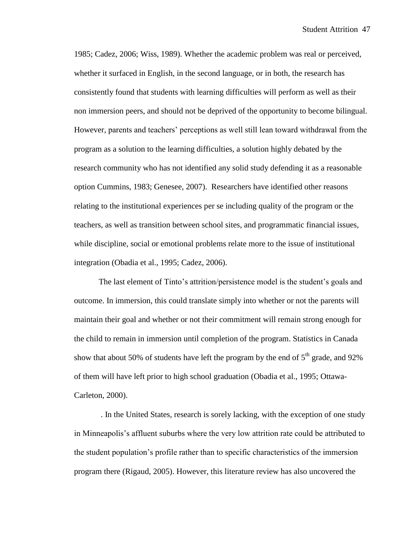1985; Cadez, 2006; Wiss, 1989). Whether the academic problem was real or perceived, whether it surfaced in English, in the second language, or in both, the research has consistently found that students with learning difficulties will perform as well as their non immersion peers, and should not be deprived of the opportunity to become bilingual. However, parents and teachers' perceptions as well still lean toward withdrawal from the program as a solution to the learning difficulties, a solution highly debated by the research community who has not identified any solid study defending it as a reasonable option Cummins, 1983; Genesee, 2007). Researchers have identified other reasons relating to the institutional experiences per se including quality of the program or the teachers, as well as transition between school sites, and programmatic financial issues, while discipline, social or emotional problems relate more to the issue of institutional integration (Obadia et al., 1995; Cadez, 2006).

The last element of Tinto's attrition/persistence model is the student's goals and outcome. In immersion, this could translate simply into whether or not the parents will maintain their goal and whether or not their commitment will remain strong enough for the child to remain in immersion until completion of the program. Statistics in Canada show that about 50% of students have left the program by the end of  $5<sup>th</sup>$  grade, and 92% of them will have left prior to high school graduation (Obadia et al., 1995; Ottawa-Carleton, 2000).

. In the United States, research is sorely lacking, with the exception of one study in Minneapolis"s affluent suburbs where the very low attrition rate could be attributed to the student population"s profile rather than to specific characteristics of the immersion program there (Rigaud, 2005). However, this literature review has also uncovered the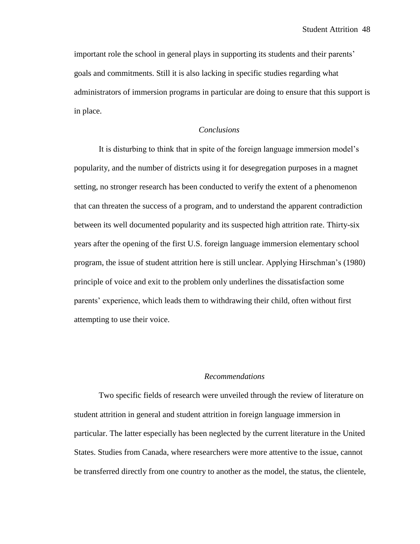important role the school in general plays in supporting its students and their parents" goals and commitments. Still it is also lacking in specific studies regarding what administrators of immersion programs in particular are doing to ensure that this support is in place.

# *Conclusions*

It is disturbing to think that in spite of the foreign language immersion model"s popularity, and the number of districts using it for desegregation purposes in a magnet setting, no stronger research has been conducted to verify the extent of a phenomenon that can threaten the success of a program, and to understand the apparent contradiction between its well documented popularity and its suspected high attrition rate. Thirty-six years after the opening of the first U.S. foreign language immersion elementary school program, the issue of student attrition here is still unclear. Applying Hirschman"s (1980) principle of voice and exit to the problem only underlines the dissatisfaction some parents" experience, which leads them to withdrawing their child, often without first attempting to use their voice.

# *Recommendations*

Two specific fields of research were unveiled through the review of literature on student attrition in general and student attrition in foreign language immersion in particular. The latter especially has been neglected by the current literature in the United States. Studies from Canada, where researchers were more attentive to the issue, cannot be transferred directly from one country to another as the model, the status, the clientele,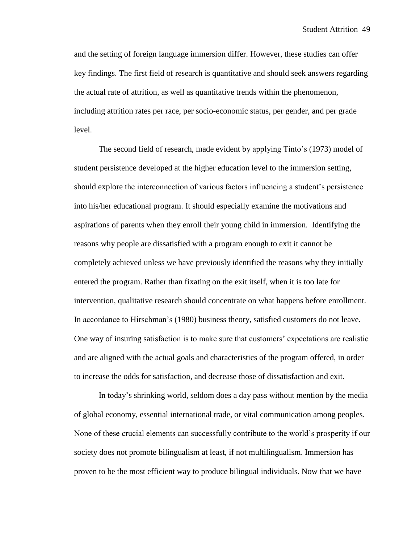and the setting of foreign language immersion differ. However, these studies can offer key findings. The first field of research is quantitative and should seek answers regarding the actual rate of attrition, as well as quantitative trends within the phenomenon, including attrition rates per race, per socio-economic status, per gender, and per grade level.

The second field of research, made evident by applying Tinto's (1973) model of student persistence developed at the higher education level to the immersion setting, should explore the interconnection of various factors influencing a student"s persistence into his/her educational program. It should especially examine the motivations and aspirations of parents when they enroll their young child in immersion. Identifying the reasons why people are dissatisfied with a program enough to exit it cannot be completely achieved unless we have previously identified the reasons why they initially entered the program. Rather than fixating on the exit itself, when it is too late for intervention, qualitative research should concentrate on what happens before enrollment. In accordance to Hirschman"s (1980) business theory, satisfied customers do not leave. One way of insuring satisfaction is to make sure that customers" expectations are realistic and are aligned with the actual goals and characteristics of the program offered, in order to increase the odds for satisfaction, and decrease those of dissatisfaction and exit.

In today"s shrinking world, seldom does a day pass without mention by the media of global economy, essential international trade, or vital communication among peoples. None of these crucial elements can successfully contribute to the world"s prosperity if our society does not promote bilingualism at least, if not multilingualism. Immersion has proven to be the most efficient way to produce bilingual individuals. Now that we have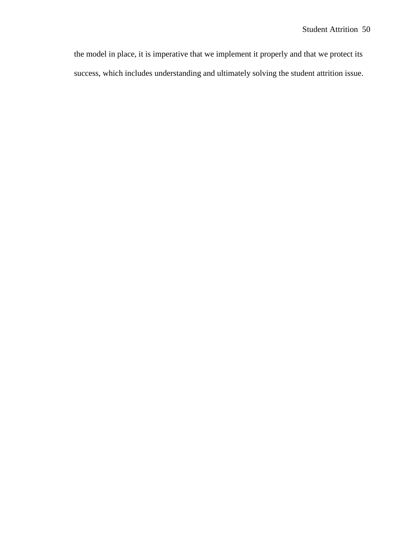the model in place, it is imperative that we implement it properly and that we protect its success, which includes understanding and ultimately solving the student attrition issue.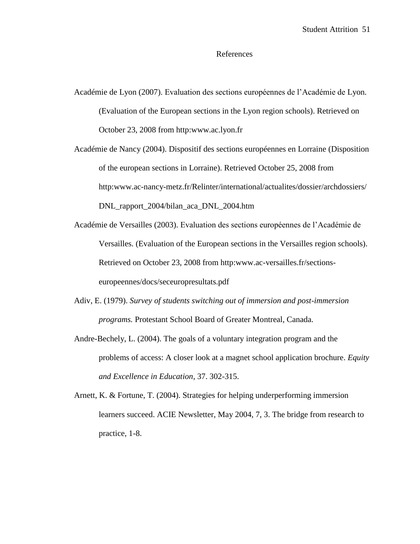# References

Académie de Lyon (2007). Evaluation des sections européennes de l"Académie de Lyon. (Evaluation of the European sections in the Lyon region schools). Retrieved on October 23, 2008 from http:www.ac.lyon.fr

Académie de Nancy (2004). Dispositif des sections européennes en Lorraine (Disposition of the european sections in Lorraine). Retrieved October 25, 2008 from http:www.ac-nancy-metz.fr/Relinter/international/actualites/dossier/archdossiers/ DNL\_rapport\_2004/bilan\_aca\_DNL\_2004.htm

- Académie de Versailles (2003). Evaluation des sections européennes de l"Académie de Versailles. (Evaluation of the European sections in the Versailles region schools). Retrieved on October 23, 2008 from http:www.ac-versailles.fr/sectionseuropeennes/docs/seceuropresultats.pdf
- Adiv, E. (1979). *Survey of students switching out of immersion and post-immersion programs.* Protestant School Board of Greater Montreal, Canada.
- Andre-Bechely, L. (2004). [The goals of a voluntary integration program and the](http://www.eric.ed.gov/ERICWebPortal/Home.portal?_nfpb=true&ERICExtSearch_SearchValue_0=magnet+programs+and+desegregation&searchtype=basic&ERICExtSearch_SearchType_0=kw&_pageLabel=RecordDetails&objectId=0900000b80275290&accno=EJ682348&_nfls=false%20%20%20%20)  [problems of access: A closer look at a magnet](http://www.eric.ed.gov/ERICWebPortal/Home.portal?_nfpb=true&ERICExtSearch_SearchValue_0=magnet+programs+and+desegregation&searchtype=basic&ERICExtSearch_SearchType_0=kw&_pageLabel=RecordDetails&objectId=0900000b80275290&accno=EJ682348&_nfls=false%20%20%20%20) school application brochure. *Equity and Excellence in Education*, 37. 302-315.
- Arnett, K. & Fortune, T. (2004). Strategies for helping underperforming immersion learners succeed. ACIE Newsletter, May 2004, 7, 3. The bridge from research to practice, 1-8.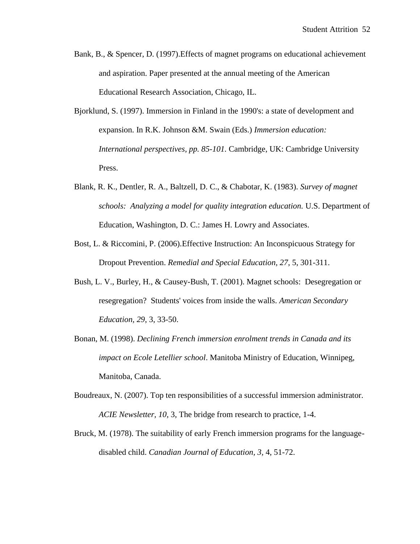- Bank, B., & Spencer, D. (1997).Effects of magnet programs on educational achievement and aspiration. Paper presented at the annual meeting of the American Educational Research Association, Chicago, IL.
- Bjorklund, S. (1997). Immersion in Finland in the 1990's: a state of development and expansion. In R.K. Johnson &M. Swain (Eds.) *Immersion education: International perspectives, pp. 85-101.* Cambridge, UK: Cambridge University Press.
- Blank, R. K., Dentler, R. A., Baltzell, D. C., & Chabotar, K. (1983). *Survey of magnet schools: Analyzing a model for quality integration education.* U.S. Department of Education, Washington, D. C.: James H. Lowry and Associates.
- Bost, L. & Riccomini, P. (2006)[.Effective Instruction: An Inconspicuous Strategy for](http://biere.louisiana.edu:2204/ehost/viewarticle?data=dGJyMPPp44rp2%2fdV0%2bnjisfk5Ie46bNQsqivSLSk63nn5Kx95uXxjL6nr0ewra1Krqa2OLawrky4qbU4zsOkjPDX7Ivf2fKB7eTnfLunrkmwrbFRsqu2PurX7H%2b72%2bw%2b4ti7ffDf4T7y1%2bVVv8Skeeyzw2K1q7ZQtKykfu3o63nys%2bSN6uLyffbq&hid=103)  [Dropout Prevention.](http://biere.louisiana.edu:2204/ehost/viewarticle?data=dGJyMPPp44rp2%2fdV0%2bnjisfk5Ie46bNQsqivSLSk63nn5Kx95uXxjL6nr0ewra1Krqa2OLawrky4qbU4zsOkjPDX7Ivf2fKB7eTnfLunrkmwrbFRsqu2PurX7H%2b72%2bw%2b4ti7ffDf4T7y1%2bVVv8Skeeyzw2K1q7ZQtKykfu3o63nys%2bSN6uLyffbq&hid=103) *Remedial and Special Education, 27*, 5, 301-311.
- Bush, L. V., Burley, H., & Causey-Bush, T. (2001). Magnet schools: Desegregation or resegregation? Students' voices from inside the walls. *American Secondary Education, 29*, 3, 33-50.
- Bonan, M. (1998). *Declining French immersion enrolment trends in Canada and its impact on Ecole Letellier school*. Manitoba Ministry of Education, Winnipeg, Manitoba, Canada.
- Boudreaux, N. (2007). Top ten responsibilities of a successful immersion administrator. *ACIE Newsletter, 10*, 3, The bridge from research to practice, 1-4.
- Bruck, M. (1978). The suitability of early French immersion programs for the languagedisabled child. *Canadian Journal of Education, 3,* 4, 51-72.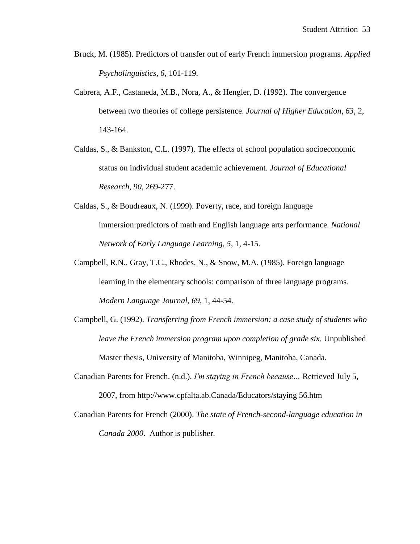- Bruck, M. (1985). Predictors of transfer out of early French immersion programs. *Applied Psycholinguistics, 6,* 101-119.
- Cabrera, A.F., Castaneda, M.B., Nora, A., & Hengler, D. (1992). The convergence between two theories of college persistence. *Journal of Higher Education, 63*, 2, 143-164.
- Caldas, S., & Bankston, C.L. (1997). The effects of school population socioeconomic status on individual student academic achievement. *Journal of Educational Research, 90*, 269-277.
- Caldas, S., & Boudreaux, N. (1999). Poverty, race, and foreign language immersion:predictors of math and English language arts performance. *National Network of Early Language Learning, 5*, 1, 4-15.
- Campbell, R.N., Gray, T.C., Rhodes, N., & Snow, M.A. (1985). Foreign language learning in the elementary schools: comparison of three language programs. *Modern Language Journal, 69*, 1, 44-54.
- Campbell, G. (1992). *Transferring from French immersion: a case study of students who leave the French immersion program upon completion of grade six.* Unpublished Master thesis, University of Manitoba, Winnipeg, Manitoba, Canada.
- Canadian Parents for French. (n.d.). *I'm staying in French because…* Retrieved July 5, 2007, from http://www.cpfalta.ab.Canada/Educators/staying 56.htm
- Canadian Parents for French (2000). *The state of French-second-language education in Canada 2000*. Author is publisher.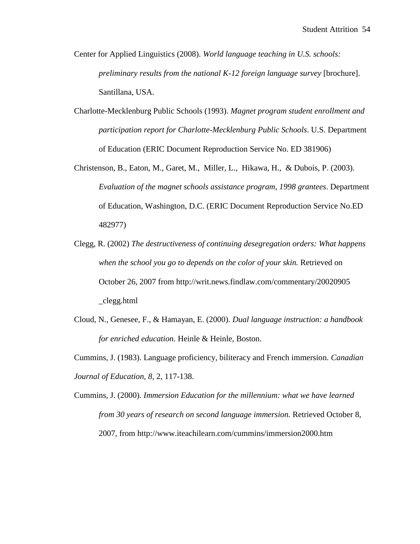- Center for Applied Linguistics (2008). *World language teaching in U.S. schools: preliminary results from the national K-12 foreign language survey* [brochure]. Santillana, USA.
- Charlotte-Mecklenburg Public Schools (1993). *Magnet program student enrollment and participation report for Charlotte-Mecklenburg Public Schools*. U.S. Department of Education (ERIC Document Reproduction Service No. ED 381906)
- Christenson, B., Eaton, M., Garet, M., Miller, L., Hikawa, H., & Dubois, P. (2003). *Evaluation of the magnet schools assistance program, 1998 grantees*. Department of Education, Washington, D.C. (ERIC Document Reproduction Service No.ED 482977)
- Clegg, R. (2002) *The destructiveness of continuing desegregation orders: What happens when the school you go to depends on the color of your skin.* Retrieved on October 26, 2007 from http://writ.news.findlaw.com/commentary/20020905 \_clegg.html
- Cloud, N., Genesee, F., & Hamayan, E. (2000). *Dual language instruction: a handbook for enriched education.* Heinle & Heinle, Boston.

Cummins, J. (1983). Language proficiency, biliteracy and French immersion. *Canadian Journal of Education, 8*, 2, 117-138.

Cummins, J. (2000). *Immersion Education for the millennium: what we have learned from 30 years of research on second language immersion.* Retrieved October 8, 2007, from http://www.iteachilearn.com/cummins/immersion2000.htm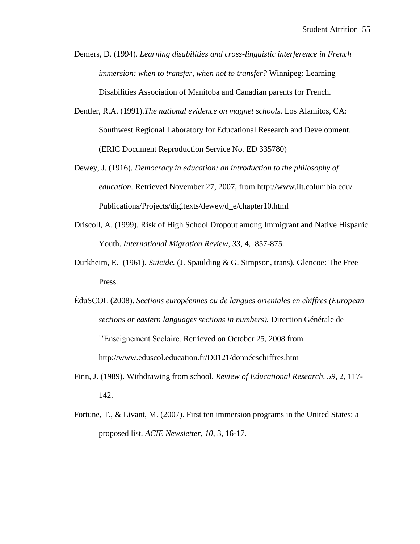- Demers, D. (1994). *Learning disabilities and cross-linguistic interference in French immersion: when to transfer, when not to transfer?* Winnipeg: Learning Disabilities Association of Manitoba and Canadian parents for French.
- Dentler, R.A. (1991).*The national evidence on magnet schools*. Los Alamitos, CA: Southwest Regional Laboratory for Educational Research and Development. (ERIC Document Reproduction Service No. ED 335780)
- Dewey, J. (1916). *Democracy in education: an introduction to the philosophy of education.* Retrieved November 27, 2007, from http://www.ilt.columbia.edu/ Publications/Projects/digitexts/dewey/d\_e/chapter10.html
- Driscoll, A. (1999). Risk of High School Dropout among Immigrant and Native Hispanic Youth. *International Migration Review, 33*, 4, 857-875.
- Durkheim, E. (1961). *Suicide.* (J. Spaulding & G. Simpson, trans). Glencoe: The Free Press.
- ÉduSCOL (2008). *Sections européennes ou de langues orientales en chiffres (European sections or eastern languages sections in numbers).* Direction Générale de l"Enseignement Scolaire. Retrieved on October 25, 2008 from http://www.eduscol.education.fr/D0121/donnéeschiffres.htm
- Finn, J. (1989). Withdrawing from school. *Review of Educational Research, 59*, 2, 117- 142.
- Fortune, T., & Livant, M. (2007). First ten immersion programs in the United States: a proposed list. *ACIE Newsletter, 10*, 3, 16-17.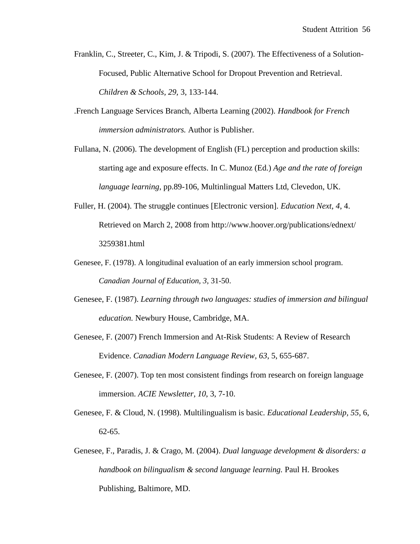- Franklin, C., Streeter, C., Kim, J. & Tripodi, S. (2007). The Effectiveness of a Solution-Focused, Public Alternative School for Dropout Prevention and Retrieval. *Children & Schools, 29,* 3, 133-144.
- .French Language Services Branch, Alberta Learning (2002). *Handbook for French immersion administrators.* Author is Publisher.
- Fullana, N. (2006). The development of English (FL) perception and production skills: starting age and exposure effects. In C. Munoz (Ed.) *Age and the rate of foreign language learning*, pp.89-106, Multinlingual Matters Ltd, Clevedon, UK.
- Fuller, H. (2004). The struggle continues [Electronic version]. *Education Next, 4*, 4. Retrieved on March 2, 2008 from http://www.hoover.org/publications/ednext/ 3259381.html
- Genesee, F. (1978). A longitudinal evaluation of an early immersion school program. *Canadian Journal of Education, 3,* 31-50.
- Genesee, F. (1987). *Learning through two languages: studies of immersion and bilingual education.* Newbury House, Cambridge, MA.
- Genesee, F. (2007) French Immersion and At-Risk Students: A Review of Research Evidence. *[Canadian Modern Language Review,](javascript:__doLinkPostBack() 63*, 5, 655-687.
- Genesee, F. (2007). Top ten most consistent findings from research on foreign language immersion. *ACIE Newsletter, 10*, 3, 7-10.
- Genesee, F. & Cloud, N. (1998). Multilingualism is basic. *Educational Leadership, 55*, 6, 62-65.
- Genesee, F., Paradis, J. & Crago, M. (2004). *Dual language development & disorders: a handbook on bilingualism & second language learning.* Paul H. Brookes Publishing, Baltimore, MD.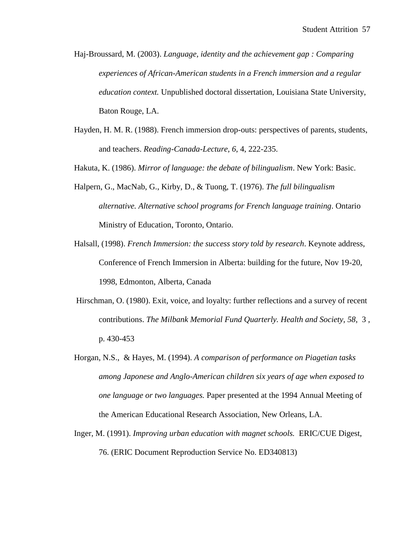- Haj-Broussard, M. (2003). *Language, identity and the achievement gap : Comparing experiences of African-American students in a French immersion and a regular education context.* Unpublished doctoral dissertation, Louisiana State University, Baton Rouge, LA.
- Hayden, H. M. R. (1988). French immersion drop-outs: perspectives of parents, students, and teachers. *Reading-Canada-Lecture, 6*, 4, 222-235.
- Hakuta, K. (1986). *Mirror of language: the debate of bilingualism*. New York: Basic.
- Halpern, G., MacNab, G., Kirby, D., & Tuong, T. (1976). *The full bilingualism alternative. Alternative school programs for French language training*. Ontario Ministry of Education, Toronto, Ontario.
- Halsall, (1998). *French Immersion: the success story told by research*. Keynote address, Conference of French Immersion in Alberta: building for the future, Nov 19-20, 1998, Edmonton, Alberta, Canada
- Hirschman, O. (1980). Exit, voice, and loyalty: further reflections and a survey of recent contributions. *The Milbank Memorial Fund Quarterly. Health and Society, 58*, 3 , p. 430-453
- Horgan, N.S., & Hayes, M. (1994). *A comparison of performance on Piagetian tasks among Japonese and Anglo-American children six years of age when exposed to one language or two languages.* Paper presented at the 1994 Annual Meeting of the American Educational Research Association, New Orleans, LA.
- Inger, M. (1991). *Improving urban education with magnet schools.* ERIC/CUE Digest, 76. (ERIC Document Reproduction Service No. ED340813)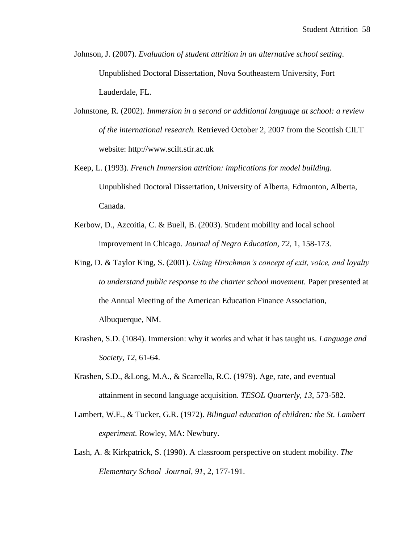- Johnson, J. (2007). *Evaluation of student attrition in an alternative school setting*. Unpublished Doctoral Dissertation, Nova Southeastern University, Fort Lauderdale, FL.
- Johnstone, R. (2002). *Immersion in a second or additional language at school: a review of the international research.* Retrieved October 2, 2007 from the Scottish CILT website: http://www.scilt.stir.ac.uk
- Keep, L. (1993). *French Immersion attrition: implications for model building.* Unpublished Doctoral Dissertation, University of Alberta, Edmonton, Alberta, Canada.
- Kerbow, D., Azcoitia, C. & Buell, B. (2003). Student mobility and local school improvement in Chicago. *Journal of Negro Education, 72*, 1, 158-173.
- King, D. & Taylor King, S. (2001). *Using Hirschman's concept of exit, voice, and loyalty to understand public response to the charter school movement.* Paper presented at the Annual Meeting of the American Education Finance Association, Albuquerque, NM.
- Krashen, S.D. (1084). Immersion: why it works and what it has taught us. *Language and Society, 12*, 61-64.
- Krashen, S.D., &Long, M.A., & Scarcella, R.C. (1979). Age, rate, and eventual attainment in second language acquisition. *TESOL Quarterly, 13*, 573-582.
- Lambert, W.E., & Tucker, G.R. (1972). *Bilingual education of children: the St. Lambert experiment.* Rowley, MA: Newbury.
- Lash, A. & Kirkpatrick, S. (1990). A classroom perspective on student mobility. *The Elementary School Journal, 91*, 2, 177-191.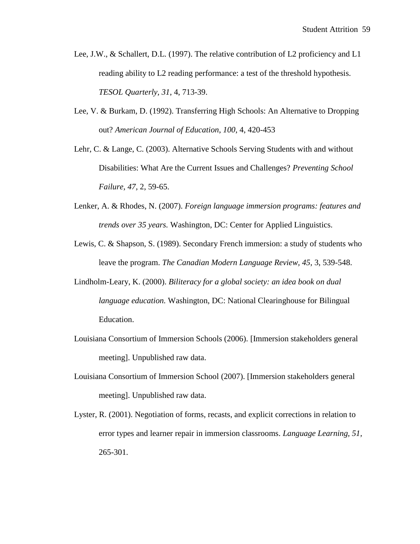- Lee, J.W., & Schallert, D.L. (1997). The relative contribution of L2 proficiency and L1 reading ability to L2 reading performance: a test of the threshold hypothesis. *TESOL Quarterly, 31*, 4, 713-39.
- Lee, V. & Burkam, D. (1992). [Transferring High Schools: An Alternative to Dropping](http://biere.louisiana.edu:2095/stable/1085817?&Search=yes&term=lee&term=burkam&list=hide&searchUri=%2Faction%2FdoAdvancedSearch%3Fq0%3Dlee%26f0%3Dau%26c0%3DAND%26q1%3Dburkam%26f1%3Dau%26c1%3DAND%26q2%3D%26f2%3Dall%26c2%3DAND%26q3%3D%26f3%3Dall%26wc%3Don%26Search%3DSearch%26sd%3D%26ed%3D%26la%3D%26jo%3D&item=3&ttl=8&returnArticleService=showArticle)  [out?](http://biere.louisiana.edu:2095/stable/1085817?&Search=yes&term=lee&term=burkam&list=hide&searchUri=%2Faction%2FdoAdvancedSearch%3Fq0%3Dlee%26f0%3Dau%26c0%3DAND%26q1%3Dburkam%26f1%3Dau%26c1%3DAND%26q2%3D%26f2%3Dall%26c2%3DAND%26q3%3D%26f3%3Dall%26wc%3Don%26Search%3DSearch%26sd%3D%26ed%3D%26la%3D%26jo%3D&item=3&ttl=8&returnArticleService=showArticle) *American Journal of Education*, *100*, 4, 420-453
- Lehr, C. & Lange, C. (2003). Alternative Schools Serving Students with and without Disabilities: What Are the Current Issues and Challenges? *[Preventing School](javascript:__doLinkPostBack()  [Failure,](javascript:__doLinkPostBack() 47,* 2, 59-65.
- Lenker, A. & Rhodes, N. (2007). *Foreign language immersion programs: features and trends over 35 years.* Washington, DC: Center for Applied Linguistics.
- Lewis, C. & Shapson, S. (1989). Secondary French immersion: a study of students who leave the program. *The Canadian Modern Language Review, 45*, 3, 539-548.
- Lindholm-Leary, K. (2000). *Biliteracy for a global society: an idea book on dual language education.* Washington, DC: National Clearinghouse for Bilingual Education.
- Louisiana Consortium of Immersion Schools (2006). [Immersion stakeholders general meeting]. Unpublished raw data.
- Louisiana Consortium of Immersion School (2007). [Immersion stakeholders general meeting]. Unpublished raw data.
- Lyster, R. (2001). Negotiation of forms, recasts, and explicit corrections in relation to error types and learner repair in immersion classrooms. *Language Learning, 51,*  265-301.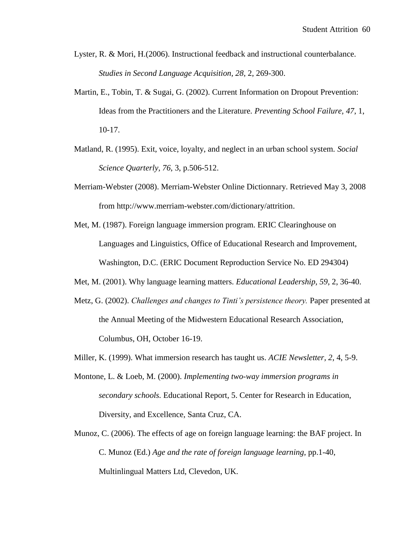- Lyster, R. & Mori, H.(2006). Instructional feedback and instructional counterbalance. *Studies in Second Language Acquisition, 28*, 2, 269-300.
- Martin, E., Tobin, T. & Sugai, G. (2002). [Current Information on Dropout Prevention:](http://biere.louisiana.edu:2204/ehost/viewarticle?data=dGJyMPPp44rp2%2fdV0%2bnjisfk5Ie46bNQsqivSLSk63nn5Kx95uXxjL6nr0ewra1Krqa2OLawrky4qbU4zsOkjPDX7Ivf2fKB7eTnfLunrkmwrbFRsqu2PurX7H%2b72%2bw%2b4ti7ffDf4T7y1%2bVVv8Skeeyzw2K0q7dLsaqkfu3o63nys%2bSN6uLyffbq&hid=103)  [Ideas from the Practitioners and the Literature.](http://biere.louisiana.edu:2204/ehost/viewarticle?data=dGJyMPPp44rp2%2fdV0%2bnjisfk5Ie46bNQsqivSLSk63nn5Kx95uXxjL6nr0ewra1Krqa2OLawrky4qbU4zsOkjPDX7Ivf2fKB7eTnfLunrkmwrbFRsqu2PurX7H%2b72%2bw%2b4ti7ffDf4T7y1%2bVVv8Skeeyzw2K0q7dLsaqkfu3o63nys%2bSN6uLyffbq&hid=103) *Preventing School Failure, 47*, 1, 10-17.
- Matland, R. (1995). Exit, voice, loyalty, and neglect in an urban school system. *Social Science Quarterly, 76*, 3, p.506-512.
- Merriam-Webster (2008). Merriam-Webster Online Dictionnary. Retrieved May 3, 2008 from http://www.merriam-webster.com/dictionary/attrition.
- Met, M. (1987). Foreign language immersion program. ERIC Clearinghouse on Languages and Linguistics, Office of Educational Research and Improvement, Washington, D.C. (ERIC Document Reproduction Service No. ED 294304)
- Met, M. (2001). Why language learning matters. *Educational Leadership, 59*, 2, 36-40.
- Metz, G. (2002). *Challenges and changes to Tinti's persistence theory.* Paper presented at the Annual Meeting of the Midwestern Educational Research Association, Columbus, OH, October 16-19.
- Miller, K. (1999). What immersion research has taught us. *ACIE Newsletter, 2*, 4, 5-9.
- Montone, L. & Loeb, M. (2000). *Implementing two-way immersion programs in secondary schools.* Educational Report, 5. Center for Research in Education, Diversity, and Excellence, Santa Cruz, CA.
- Munoz, C. (2006). The effects of age on foreign language learning: the BAF project. In C. Munoz (Ed.) *Age and the rate of foreign language learning*, pp.1-40, Multinlingual Matters Ltd, Clevedon, UK.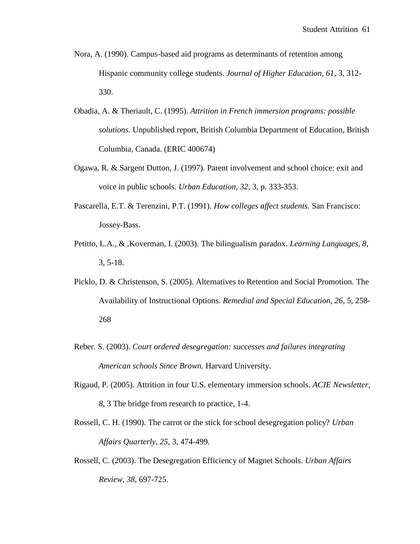- Nora, A. (1990). Campus-based aid programs as determinants of retention among Hispanic community college students. *Journal of Higher Education, 61*, 3, 312- 330.
- Obadia, A. & Theriault, C. (1995). *Attrition in French immersion programs: possible solutions.* Unpublished report, British Columbia Department of Education, British Columbia, Canada. (ERIC 400674)
- Ogawa, R. & Sargent Dutton, J. (1997). Parent involvement and school choice: exit and voice in public schools. *Urban Education, 32*, 3, p. 333-353.
- Pascarella, E.T. & Terenzini, P.T. (1991). *How colleges affect students.* San Francisco: Jossey-Bass.
- Petitto, L.A., & .Koverman, I. (2003). The bilingualism paradox. *Learning Languages, 8*, 3, 5-18.
- Picklo, D. & Christenson, S. (2005). Alternatives to Retention and Social Promotion. The Availability of Instructional Options. *Remedial and Special Education, 26*, 5, 258- 268
- Reber. S. (2003). *Court ordered desegregation: successes and failures integrating American schools Since Brown.* Harvard University.
- Rigaud, P. (2005). Attrition in four U.S. elementary immersion schools. *ACIE Newsletter, 8*, 3 The bridge from research to practice, 1-4.
- Rossell, C. H. (1990). The carrot or the stick for school desegregation policy? *Urban Affairs Quarterly, 25*, 3, 474-499.
- Rossell, C. (2003). The Desegregation Efficiency of Magnet Schools. *Urban Affairs Review, 38*, 697-725.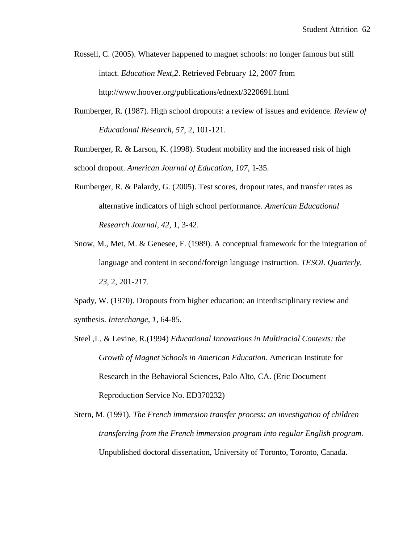Rossell, C. (2005). Whatever happened to magnet schools: no longer famous but still intact. *Education Next,2*. Retrieved February 12, 2007 from http://www.hoover.org/publications/ednext/3220691.html

Rumberger, R. (1987). High school dropouts: a review of issues and evidence. *Review of Educational Research, 57*, 2, 101-121.

Rumberger, R. & Larson, K. (1998). Student mobility and the increased risk of high school dropout. *American Journal of Education, 107*, 1-35.

- Rumberger, R. & Palardy, G. (2005). Test scores, dropout rates, and transfer rates as alternative indicators of high school performance. *American Educational Research Journal*, *42*, 1, 3-42.
- Snow, M., Met, M. & Genesee, F. (1989). A conceptual framework for the integration of language and content in second/foreign language instruction. *TESOL Quarterly, 23,* 2, 201-217.

Spady, W. (1970). Dropouts from higher education: an interdisciplinary review and synthesis. *Interchange, 1*, 64-85.

- Steel ,L. & Levine, R.(1994) *Educational Innovations in Multiracial Contexts: the Growth of Magnet Schools in American Education*. American Institute for Research in the Behavioral Sciences, Palo Alto, CA. (Eric Document Reproduction Service No. ED370232)
- Stern, M. (1991). *The French immersion transfer process: an investigation of children transferring from the French immersion program into regular English program.* Unpublished doctoral dissertation, University of Toronto, Toronto, Canada.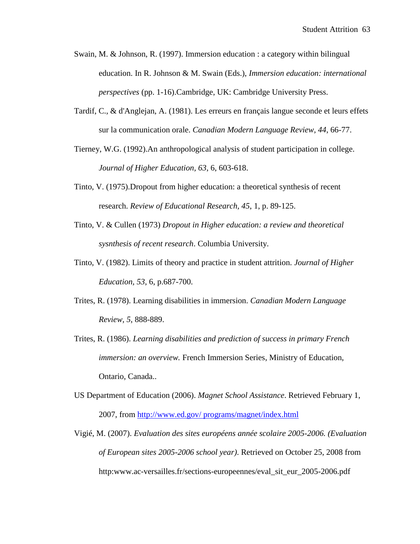- Swain, M. & Johnson, R. (1997). Immersion education : a category within bilingual education. In R. Johnson & M. Swain (Eds.), *Immersion education: international perspectives* (pp. 1-16).Cambridge, UK: Cambridge University Press.
- Tardif, C., & d'Anglejan, A. (1981). Les erreurs en français langue seconde et leurs effets sur la communication orale. *Canadian Modern Language Review, 44*, 66-77.
- Tierney, W.G. (1992).An anthropological analysis of student participation in college. *Journal of Higher Education, 63*, 6, 603-618.
- Tinto, V. (1975).Dropout from higher education: a theoretical synthesis of recent research. *Review of Educational Research, 45*, 1, p. 89-125.
- Tinto, V. & Cullen (1973) *Dropout in Higher education: a review and theoretical sysnthesis of recent research*. Columbia University.
- Tinto, V. (1982). Limits of theory and practice in student attrition. *Journal of Higher Education, 53*, 6, p.687-700.
- Trites, R. (1978). Learning disabilities in immersion. *Canadian Modern Language Review, 5*, 888-889.
- Trites, R. (1986). *Learning disabilities and prediction of success in primary French immersion: an overview.* French Immersion Series, Ministry of Education, Ontario, Canada..
- US Department of Education (2006). *Magnet School Assistance*. Retrieved February 1, 2007, from [http://www.ed.gov/ programs/magnet/index.html](http://www.ed.gov/%20programs/magnet/index.html)
- Vigié, M. (2007). *Evaluation des sites européens année scolaire 2005-2006. (Evaluation of European sites 2005-2006 school year)*. Retrieved on October 25, 2008 from http:www.ac-versailles.fr/sections-europeennes/eval\_sit\_eur\_2005-2006.pdf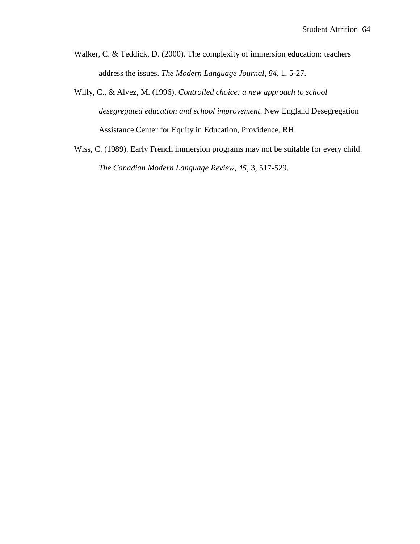- Walker, C. & Teddick, D. (2000). The complexity of immersion education: teachers address the issues. *The Modern Language Journal, 84*, 1, 5-27.
- Willy, C., & Alvez, M. (1996). *Controlled choice: a new approach to school desegregated education and school improvement*. New England Desegregation Assistance Center for Equity in Education, Providence, RH.
- Wiss, C. (1989). Early French immersion programs may not be suitable for every child. *The Canadian Modern Language Review, 45*, 3, 517-529.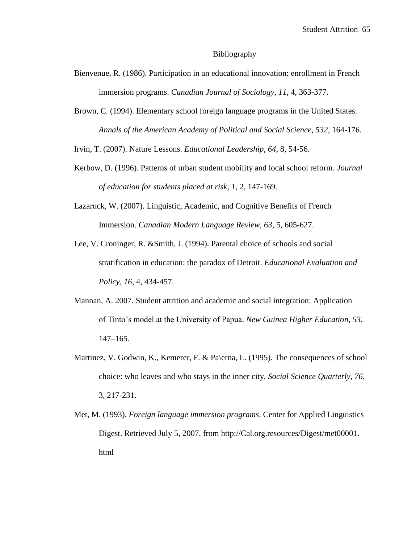## Bibliography

- Bienvenue, R. (1986). Participation in an educational innovation: enrollment in French immersion programs. *Canadian Journal of Sociology, 11*, 4, 363-377.
- Brown, C. (1994). Elementary school foreign language programs in the United States. *Annals of the American Academy of Political and Social Science, 532*, 164-176.

Irvin, T. (2007). Nature Lessons. *Educational Leadership, 64*, 8, 54-56.

- Kerbow, D. (1996). Patterns of urban student mobility and local school reform. *Journal of education for students placed at risk, 1*, 2, 147-169.
- Lazaruck, W. (2007). [Linguistic, Academic, and Cognitive Benefits of French](http://biere.louisiana.edu:2204/ehost/viewarticle?data=dGJyMPPp44rp2%2fdV0%2bnjisfk5Ie46bNQsqivSLSk63nn5Kx95uXxjL6nr0ewra1Krqa2OLGwrkq4qbc4zsOkjPDX7Ivf2fKB7eTnfLujtFG0qLVRt6uuPurX7H%2b72%2bw%2b4ti7ffDf4T7y1%2bVVv8Skeeyzw2K1rrJJtKqkfu3o63nys%2bSN6uLyffbq&hid=103)  [Immersion.](http://biere.louisiana.edu:2204/ehost/viewarticle?data=dGJyMPPp44rp2%2fdV0%2bnjisfk5Ie46bNQsqivSLSk63nn5Kx95uXxjL6nr0ewra1Krqa2OLGwrkq4qbc4zsOkjPDX7Ivf2fKB7eTnfLujtFG0qLVRt6uuPurX7H%2b72%2bw%2b4ti7ffDf4T7y1%2bVVv8Skeeyzw2K1rrJJtKqkfu3o63nys%2bSN6uLyffbq&hid=103) *Canadian Modern Language Review, 63*, 5, 605-627.
- Lee, V. Croninger, R. &Smith, J. (1994). Parental choice of schools and social stratification in education: the paradox of Detroit. *Educational Evaluation and Policy, 16*, 4, 434-457.
- Mannan, A. 2007. Student attrition and academic and social integration: Application of Tinto"s model at the University of Papua. *New Guinea Higher Education, 53*, 147–165.
- Martinez, V. Godwin, K., Kemerer, F. & Pa\erna, L. (1995). The consequences of school choice: who leaves and who stays in the inner city. *Social Science Quarterly, 76*, 3, 217-231.
- Met, M. (1993). *Foreign language immersion programs*. Center for Applied Linguistics Digest. Retrieved July 5, 2007, from http://Cal.org.resources/Digest/met00001. html